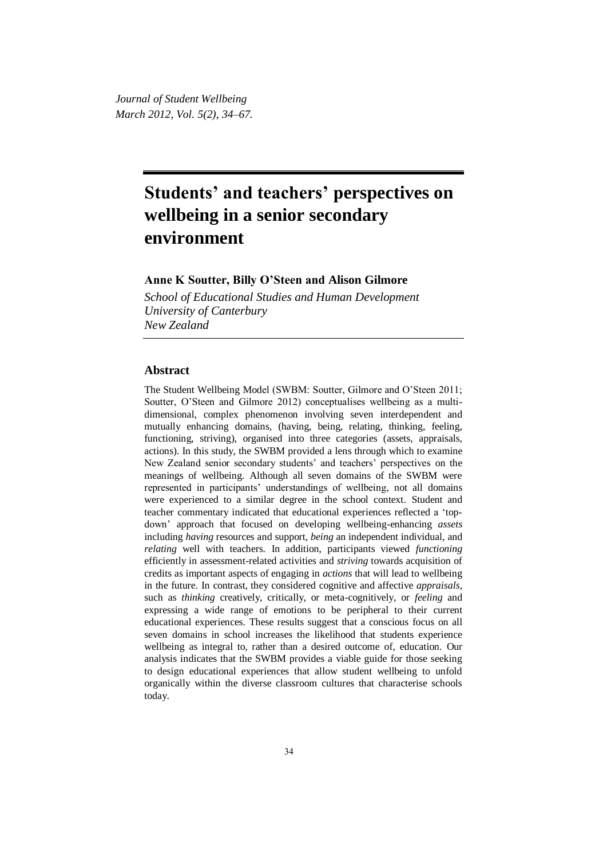*Journal of Student Wellbeing March 2012, Vol. 5(2), 34–67.*

# **Students' and teachers' perspectives on wellbeing in a senior secondary environment**

# **Anne K Soutter, Billy O'Steen and Alison Gilmore**

*School of Educational Studies and Human Development University of Canterbury New Zealand*

## **Abstract**

The Student Wellbeing Model (SWBM: Soutter, Gilmore and O'Steen 2011; Soutter, O'Steen and Gilmore 2012) conceptualises wellbeing as a multidimensional, complex phenomenon involving seven interdependent and mutually enhancing domains, (having, being, relating, thinking, feeling, functioning, striving), organised into three categories (assets, appraisals, actions). In this study, the SWBM provided a lens through which to examine New Zealand senior secondary students' and teachers' perspectives on the meanings of wellbeing. Although all seven domains of the SWBM were represented in participants' understandings of wellbeing, not all domains were experienced to a similar degree in the school context. Student and teacher commentary indicated that educational experiences reflected a 'topdown' approach that focused on developing wellbeing-enhancing *assets*  including *having* resources and support*, being* an independent individual, and *relating* well with teachers. In addition, participants viewed *functioning*  efficiently in assessment-related activities and *striving* towards acquisition of credits as important aspects of engaging in *actions* that will lead to wellbeing in the future. In contrast, they considered cognitive and affective *appraisals,*  such as *thinking* creatively, critically, or meta-cognitively, or *feeling* and expressing a wide range of emotions to be peripheral to their current educational experiences. These results suggest that a conscious focus on all seven domains in school increases the likelihood that students experience wellbeing as integral to, rather than a desired outcome of, education. Our analysis indicates that the SWBM provides a viable guide for those seeking to design educational experiences that allow student wellbeing to unfold organically within the diverse classroom cultures that characterise schools today.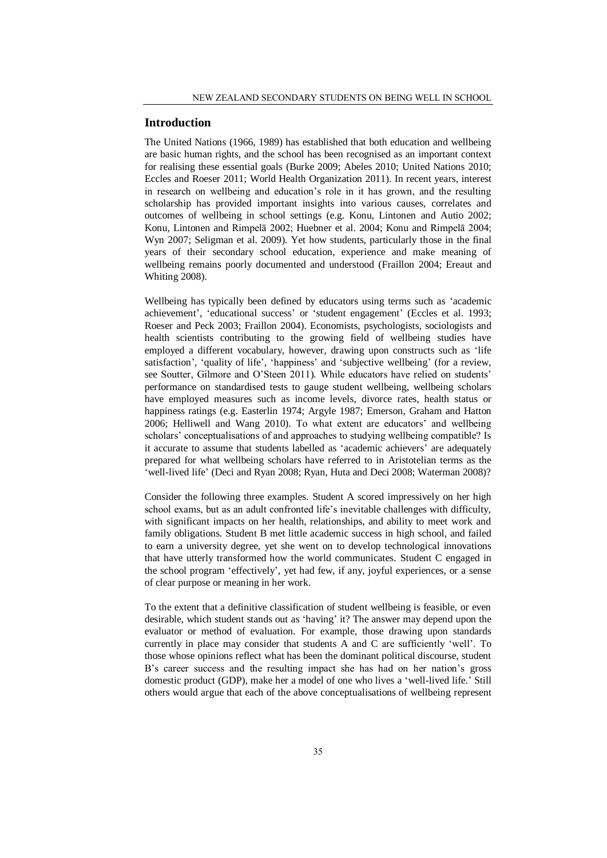## **Introduction**

The United Nations (1966, 1989) has established that both education and wellbeing are basic human rights, and the school has been recognised as an important context for realising these essential goals (Burke 2009; Abeles 2010; United Nations 2010; Eccles and Roeser 2011; World Health Organization 2011). In recent years, interest in research on wellbeing and education's role in it has grown, and the resulting scholarship has provided important insights into various causes, correlates and outcomes of wellbeing in school settings (e.g. Konu, Lintonen and Autio 2002; Konu, Lintonen and Rimpelā 2002; Huebner et al. 2004; Konu and Rimpelā 2004; Wyn 2007; Seligman et al. 2009). Yet how students, particularly those in the final years of their secondary school education, experience and make meaning of wellbeing remains poorly documented and understood (Fraillon 2004; Ereaut and Whiting 2008).

Wellbeing has typically been defined by educators using terms such as 'academic achievement', 'educational success' or 'student engagement' (Eccles et al. 1993; Roeser and Peck 2003; Fraillon 2004). Economists, psychologists, sociologists and health scientists contributing to the growing field of wellbeing studies have employed a different vocabulary, however, drawing upon constructs such as 'life satisfaction', 'quality of life', 'happiness' and 'subjective wellbeing' (for a review, see Soutter, Gilmore and O'Steen 2011)*.* While educators have relied on students' performance on standardised tests to gauge student wellbeing, wellbeing scholars have employed measures such as income levels, divorce rates, health status or happiness ratings (e.g. Easterlin 1974; Argyle 1987; Emerson, Graham and Hatton 2006; Helliwell and Wang 2010). To what extent are educators' and wellbeing scholars' conceptualisations of and approaches to studying wellbeing compatible? Is it accurate to assume that students labelled as 'academic achievers' are adequately prepared for what wellbeing scholars have referred to in Aristotelian terms as the 'well-lived life' (Deci and Ryan 2008; Ryan, Huta and Deci 2008; Waterman 2008)?

Consider the following three examples. Student A scored impressively on her high school exams, but as an adult confronted life's inevitable challenges with difficulty, with significant impacts on her health, relationships, and ability to meet work and family obligations. Student B met little academic success in high school, and failed to earn a university degree, yet she went on to develop technological innovations that have utterly transformed how the world communicates. Student C engaged in the school program 'effectively', yet had few, if any, joyful experiences, or a sense of clear purpose or meaning in her work.

To the extent that a definitive classification of student wellbeing is feasible, or even desirable, which student stands out as 'having' it? The answer may depend upon the evaluator or method of evaluation. For example, those drawing upon standards currently in place may consider that students A and C are sufficiently 'well'. To those whose opinions reflect what has been the dominant political discourse, student B's career success and the resulting impact she has had on her nation's gross domestic product (GDP), make her a model of one who lives a 'well-lived life.' Still others would argue that each of the above conceptualisations of wellbeing represent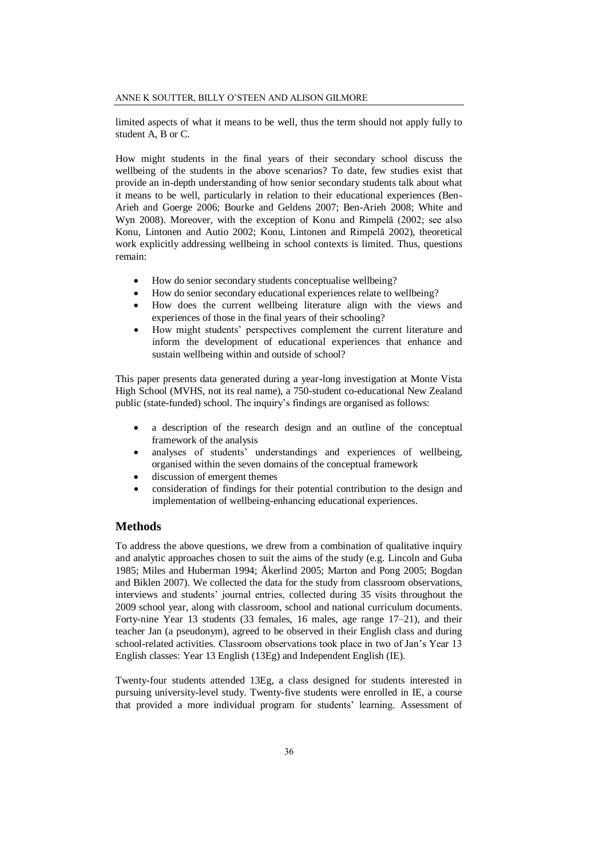limited aspects of what it means to be well, thus the term should not apply fully to student A, B or C.

How might students in the final years of their secondary school discuss the wellbeing of the students in the above scenarios? To date, few studies exist that provide an in-depth understanding of how senior secondary students talk about what it means to be well, particularly in relation to their educational experiences (Ben-Arieh and Goerge 2006; Bourke and Geldens 2007; Ben-Arieh 2008; White and Wyn 2008). Moreover, with the exception of Konu and Rimpelā (2002; see also Konu, Lintonen and Autio 2002; Konu, Lintonen and Rimpelā 2002), theoretical work explicitly addressing wellbeing in school contexts is limited. Thus, questions remain:

- How do senior secondary students conceptualise wellbeing?
- How do senior secondary educational experiences relate to wellbeing?
- How does the current wellbeing literature align with the views and experiences of those in the final years of their schooling?
- How might students' perspectives complement the current literature and inform the development of educational experiences that enhance and sustain wellbeing within and outside of school?

This paper presents data generated during a year-long investigation at Monte Vista High School (MVHS, not its real name), a 750-student co-educational New Zealand public (state-funded) school. The inquiry's findings are organised as follows:

- a description of the research design and an outline of the conceptual framework of the analysis
- analyses of students' understandings and experiences of wellbeing, organised within the seven domains of the conceptual framework
- discussion of emergent themes
- consideration of findings for their potential contribution to the design and implementation of wellbeing-enhancing educational experiences.

## **Methods**

To address the above questions, we drew from a combination of qualitative inquiry and analytic approaches chosen to suit the aims of the study (e.g. Lincoln and Guba 1985; Miles and Huberman 1994; Åkerlind 2005; Marton and Pong 2005; Bogdan and Biklen 2007). We collected the data for the study from classroom observations, interviews and students' journal entries, collected during 35 visits throughout the 2009 school year, along with classroom, school and national curriculum documents. Forty-nine Year 13 students (33 females, 16 males, age range 17–21), and their teacher Jan (a pseudonym), agreed to be observed in their English class and during school-related activities. Classroom observations took place in two of Jan's Year 13 English classes: Year 13 English (13Eg) and Independent English (IE).

Twenty-four students attended 13Eg, a class designed for students interested in pursuing university-level study. Twenty-five students were enrolled in IE, a course that provided a more individual program for students' learning. Assessment of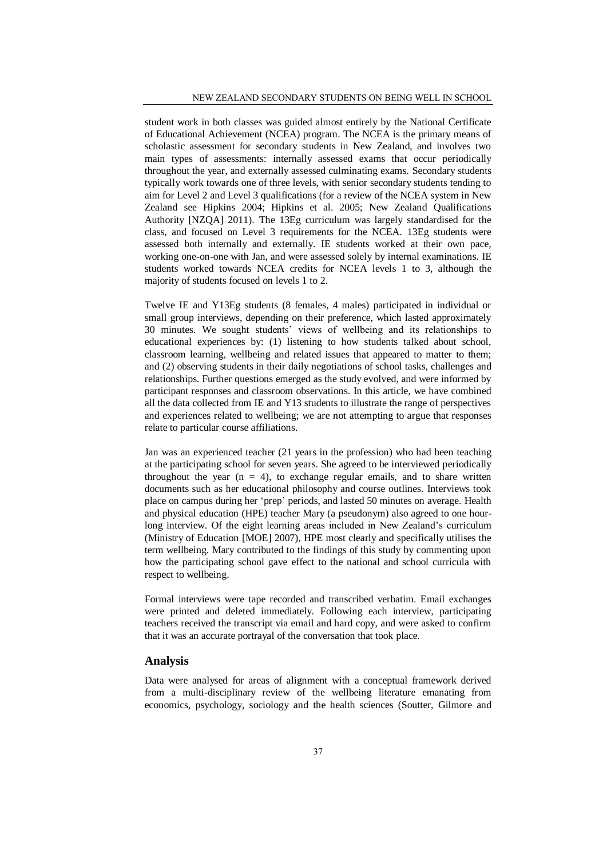student work in both classes was guided almost entirely by the National Certificate of Educational Achievement (NCEA) program. The NCEA is the primary means of scholastic assessment for secondary students in New Zealand, and involves two main types of assessments: internally assessed exams that occur periodically throughout the year, and externally assessed culminating exams. Secondary students typically work towards one of three levels, with senior secondary students tending to aim for Level 2 and Level 3 qualifications (for a review of the NCEA system in New Zealand see Hipkins 2004; Hipkins et al. 2005; New Zealand Qualifications Authority [NZQA] 2011). The 13Eg curriculum was largely standardised for the class, and focused on Level 3 requirements for the NCEA. 13Eg students were assessed both internally and externally. IE students worked at their own pace, working one-on-one with Jan, and were assessed solely by internal examinations. IE students worked towards NCEA credits for NCEA levels 1 to 3, although the majority of students focused on levels 1 to 2.

Twelve IE and Y13Eg students (8 females, 4 males) participated in individual or small group interviews, depending on their preference, which lasted approximately 30 minutes. We sought students' views of wellbeing and its relationships to educational experiences by: (1) listening to how students talked about school, classroom learning, wellbeing and related issues that appeared to matter to them; and (2) observing students in their daily negotiations of school tasks, challenges and relationships. Further questions emerged as the study evolved, and were informed by participant responses and classroom observations. In this article, we have combined all the data collected from IE and Y13 students to illustrate the range of perspectives and experiences related to wellbeing; we are not attempting to argue that responses relate to particular course affiliations.

Jan was an experienced teacher (21 years in the profession) who had been teaching at the participating school for seven years. She agreed to be interviewed periodically throughout the year ( $n = 4$ ), to exchange regular emails, and to share written documents such as her educational philosophy and course outlines. Interviews took place on campus during her 'prep' periods, and lasted 50 minutes on average. Health and physical education (HPE) teacher Mary (a pseudonym) also agreed to one hourlong interview. Of the eight learning areas included in New Zealand's curriculum (Ministry of Education [MOE] 2007), HPE most clearly and specifically utilises the term wellbeing. Mary contributed to the findings of this study by commenting upon how the participating school gave effect to the national and school curricula with respect to wellbeing.

Formal interviews were tape recorded and transcribed verbatim. Email exchanges were printed and deleted immediately. Following each interview, participating teachers received the transcript via email and hard copy, and were asked to confirm that it was an accurate portrayal of the conversation that took place.

## **Analysis**

Data were analysed for areas of alignment with a conceptual framework derived from a multi-disciplinary review of the wellbeing literature emanating from economics, psychology, sociology and the health sciences (Soutter, Gilmore and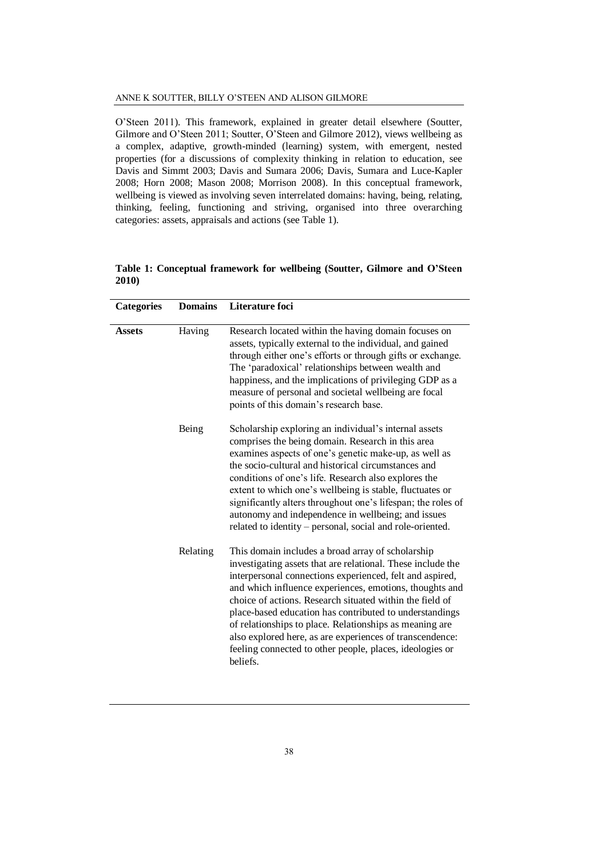O'Steen 2011). This framework, explained in greater detail elsewhere (Soutter, Gilmore and O'Steen 2011; Soutter, O'Steen and Gilmore 2012), views wellbeing as a complex, adaptive, growth-minded (learning) system, with emergent, nested properties (for a discussions of complexity thinking in relation to education, see Davis and Simmt 2003; Davis and Sumara 2006; Davis, Sumara and Luce-Kapler 2008; Horn 2008; Mason 2008; Morrison 2008). In this conceptual framework, wellbeing is viewed as involving seven interrelated domains: having, being, relating, thinking, feeling, functioning and striving, organised into three overarching categories: assets, appraisals and actions (see Table 1)*.*

|       | Table 1: Conceptual framework for wellbeing (Soutter, Gilmore and O'Steen |  |  |  |
|-------|---------------------------------------------------------------------------|--|--|--|
| 2010) |                                                                           |  |  |  |

| <b>Categories</b> | <b>Domains</b> | Literature foci                                                                                                                                                                                                                                                                                                                                                                                                                                                                                                                                               |
|-------------------|----------------|---------------------------------------------------------------------------------------------------------------------------------------------------------------------------------------------------------------------------------------------------------------------------------------------------------------------------------------------------------------------------------------------------------------------------------------------------------------------------------------------------------------------------------------------------------------|
| <b>Assets</b>     | Having         | Research located within the having domain focuses on<br>assets, typically external to the individual, and gained<br>through either one's efforts or through gifts or exchange.<br>The 'paradoxical' relationships between wealth and<br>happiness, and the implications of privileging GDP as a<br>measure of personal and societal wellbeing are focal<br>points of this domain's research base.                                                                                                                                                             |
|                   | Being          | Scholarship exploring an individual's internal assets<br>comprises the being domain. Research in this area<br>examines aspects of one's genetic make-up, as well as<br>the socio-cultural and historical circumstances and<br>conditions of one's life. Research also explores the<br>extent to which one's wellbeing is stable, fluctuates or<br>significantly alters throughout one's lifespan; the roles of<br>autonomy and independence in wellbeing; and issues<br>related to identity - personal, social and role-oriented.                             |
|                   | Relating       | This domain includes a broad array of scholarship<br>investigating assets that are relational. These include the<br>interpersonal connections experienced, felt and aspired,<br>and which influence experiences, emotions, thoughts and<br>choice of actions. Research situated within the field of<br>place-based education has contributed to understandings<br>of relationships to place. Relationships as meaning are<br>also explored here, as are experiences of transcendence:<br>feeling connected to other people, places, ideologies or<br>beliefs. |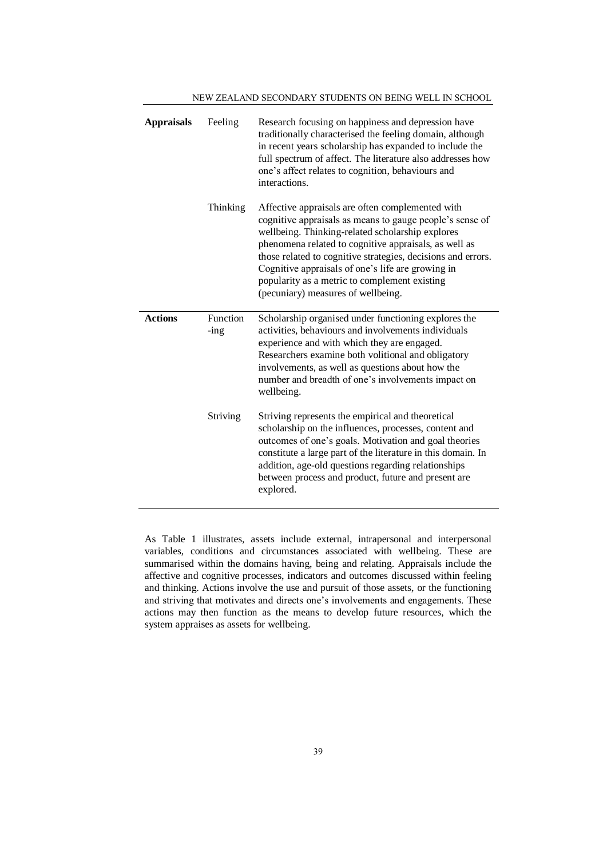| <b>Appraisals</b> | Feeling             | Research focusing on happiness and depression have<br>traditionally characterised the feeling domain, although<br>in recent years scholarship has expanded to include the<br>full spectrum of affect. The literature also addresses how<br>one's affect relates to cognition, behaviours and<br>interactions.                                                                                                                         |
|-------------------|---------------------|---------------------------------------------------------------------------------------------------------------------------------------------------------------------------------------------------------------------------------------------------------------------------------------------------------------------------------------------------------------------------------------------------------------------------------------|
|                   | Thinking            | Affective appraisals are often complemented with<br>cognitive appraisals as means to gauge people's sense of<br>wellbeing. Thinking-related scholarship explores<br>phenomena related to cognitive appraisals, as well as<br>those related to cognitive strategies, decisions and errors.<br>Cognitive appraisals of one's life are growing in<br>popularity as a metric to complement existing<br>(pecuniary) measures of wellbeing. |
| <b>Actions</b>    | Function<br>$-$ ing | Scholarship organised under functioning explores the<br>activities, behaviours and involvements individuals<br>experience and with which they are engaged.<br>Researchers examine both volitional and obligatory<br>involvements, as well as questions about how the<br>number and breadth of one's involvements impact on<br>wellbeing.                                                                                              |
|                   | Striving            | Striving represents the empirical and theoretical<br>scholarship on the influences, processes, content and<br>outcomes of one's goals. Motivation and goal theories<br>constitute a large part of the literature in this domain. In<br>addition, age-old questions regarding relationships<br>between process and product, future and present are<br>explored.                                                                        |

NEW ZEALAND SECONDARY STUDENTS ON BEING WELL IN SCHOOL

As Table 1 illustrates, assets include external, intrapersonal and interpersonal variables, conditions and circumstances associated with wellbeing. These are summarised within the domains having, being and relating. Appraisals include the affective and cognitive processes, indicators and outcomes discussed within feeling and thinking. Actions involve the use and pursuit of those assets, or the functioning and striving that motivates and directs one's involvements and engagements. These actions may then function as the means to develop future resources, which the system appraises as assets for wellbeing.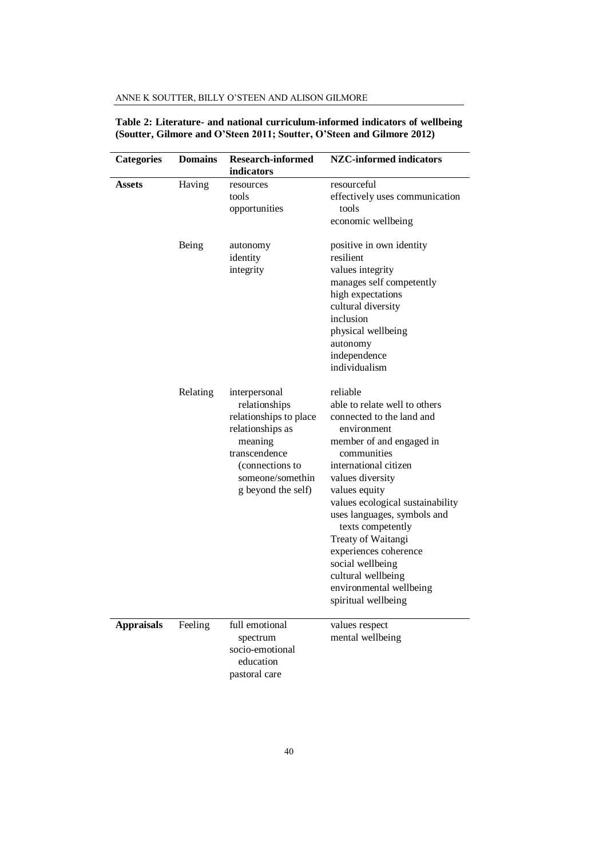| <b>Categories</b> | <b>Domains</b> | <b>Research-informed</b><br>indicators                                                                                                                                | <b>NZC-informed indicators</b>                                                                                                                                                                                                                                                                                                                                                                                                    |
|-------------------|----------------|-----------------------------------------------------------------------------------------------------------------------------------------------------------------------|-----------------------------------------------------------------------------------------------------------------------------------------------------------------------------------------------------------------------------------------------------------------------------------------------------------------------------------------------------------------------------------------------------------------------------------|
| Assets            | Having         | resources<br>tools<br>opportunities                                                                                                                                   | resourceful<br>effectively uses communication<br>tools<br>economic wellbeing                                                                                                                                                                                                                                                                                                                                                      |
|                   | Being          | autonomy<br>identity<br>integrity                                                                                                                                     | positive in own identity<br>resilient<br>values integrity<br>manages self competently<br>high expectations<br>cultural diversity<br>inclusion<br>physical wellbeing<br>autonomy<br>independence<br>individualism                                                                                                                                                                                                                  |
|                   | Relating       | interpersonal<br>relationships<br>relationships to place<br>relationships as<br>meaning<br>transcendence<br>(connections to<br>someone/somethin<br>g beyond the self) | reliable<br>able to relate well to others<br>connected to the land and<br>environment<br>member of and engaged in<br>communities<br>international citizen<br>values diversity<br>values equity<br>values ecological sustainability<br>uses languages, symbols and<br>texts competently<br>Treaty of Waitangi<br>experiences coherence<br>social wellbeing<br>cultural wellbeing<br>environmental wellbeing<br>spiritual wellbeing |
| <b>Appraisals</b> | Feeling        | full emotional<br>spectrum<br>socio-emotional<br>education<br>pastoral care                                                                                           | values respect<br>mental wellbeing                                                                                                                                                                                                                                                                                                                                                                                                |

## **Table 2: Literature- and national curriculum-informed indicators of wellbeing (Soutter, Gilmore and O'Steen 2011; Soutter, O'Steen and Gilmore 2012)**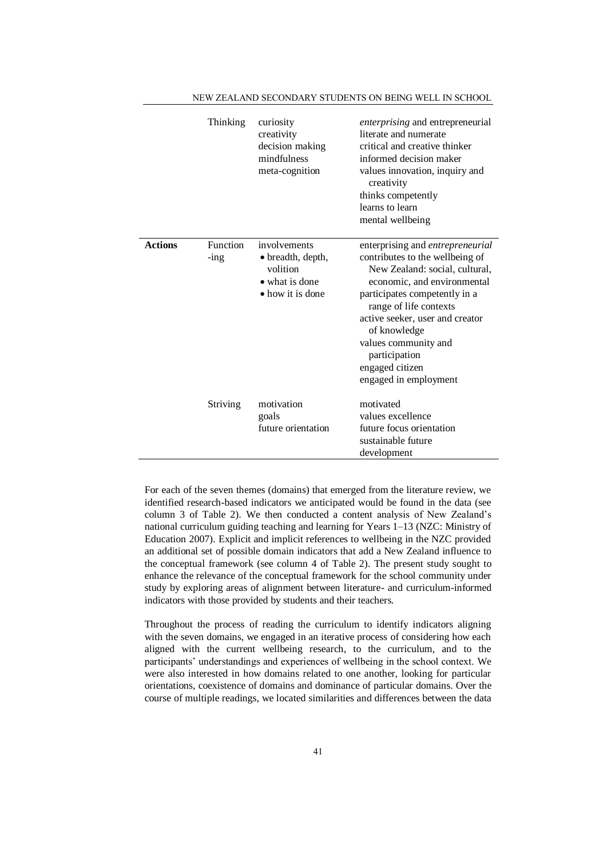|                | Thinking            | curiosity<br>creativity<br>decision making<br>mindfulness<br>meta-cognition         | enterprising and entrepreneurial<br>literate and numerate<br>critical and creative thinker<br>informed decision maker<br>values innovation, inquiry and<br>creativity<br>thinks competently<br>learns to learn<br>mental wellbeing                                                                                                      |
|----------------|---------------------|-------------------------------------------------------------------------------------|-----------------------------------------------------------------------------------------------------------------------------------------------------------------------------------------------------------------------------------------------------------------------------------------------------------------------------------------|
| <b>Actions</b> | Function<br>$-$ ing | involvements<br>· breadth, depth,<br>volition<br>• what is done<br>• how it is done | enterprising and entrepreneurial<br>contributes to the wellbeing of<br>New Zealand: social, cultural,<br>economic, and environmental<br>participates competently in a<br>range of life contexts<br>active seeker, user and creator<br>of knowledge<br>values community and<br>participation<br>engaged citizen<br>engaged in employment |
|                | Striving            | motivation<br>goals<br>future orientation                                           | motivated<br>values excellence<br>future focus orientation<br>sustainable future<br>development                                                                                                                                                                                                                                         |

NEW ZEALAND SECONDARY STUDENTS ON BEING WELL IN SCHOOL

For each of the seven themes (domains) that emerged from the literature review, we identified research-based indicators we anticipated would be found in the data (see column 3 of Table 2). We then conducted a content analysis of New Zealand's national curriculum guiding teaching and learning for Years 1–13 (NZC: Ministry of Education 2007). Explicit and implicit references to wellbeing in the NZC provided an additional set of possible domain indicators that add a New Zealand influence to the conceptual framework (see column 4 of Table 2). The present study sought to enhance the relevance of the conceptual framework for the school community under study by exploring areas of alignment between literature- and curriculum-informed indicators with those provided by students and their teachers.

Throughout the process of reading the curriculum to identify indicators aligning with the seven domains, we engaged in an iterative process of considering how each aligned with the current wellbeing research, to the curriculum, and to the participants' understandings and experiences of wellbeing in the school context. We were also interested in how domains related to one another, looking for particular orientations, coexistence of domains and dominance of particular domains. Over the course of multiple readings, we located similarities and differences between the data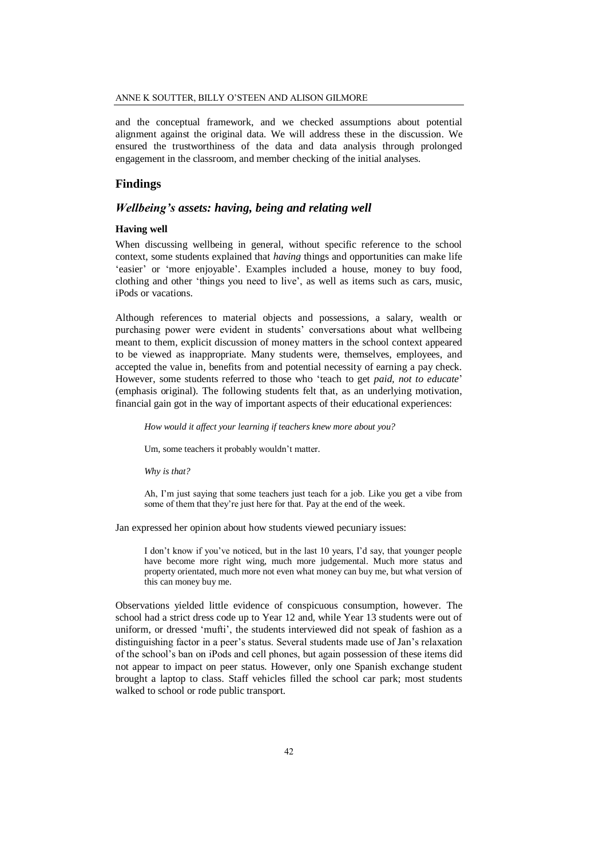and the conceptual framework, and we checked assumptions about potential alignment against the original data. We will address these in the discussion. We ensured the trustworthiness of the data and data analysis through prolonged engagement in the classroom, and member checking of the initial analyses.

## **Findings**

## *Wellbeing's assets: having, being and relating well*

## **Having well**

When discussing wellbeing in general, without specific reference to the school context, some students explained that *having* things and opportunities can make life 'easier' or 'more enjoyable'. Examples included a house, money to buy food, clothing and other 'things you need to live', as well as items such as cars, music, iPods or vacations.

Although references to material objects and possessions, a salary, wealth or purchasing power were evident in students' conversations about what wellbeing meant to them, explicit discussion of money matters in the school context appeared to be viewed as inappropriate. Many students were, themselves, employees, and accepted the value in, benefits from and potential necessity of earning a pay check. However, some students referred to those who 'teach to get *paid, not to educate*' (emphasis original). The following students felt that, as an underlying motivation, financial gain got in the way of important aspects of their educational experiences:

*How would it affect your learning if teachers knew more about you?*

Um, some teachers it probably wouldn't matter.

*Why is that?*

Ah, I'm just saying that some teachers just teach for a job. Like you get a vibe from some of them that they're just here for that. Pay at the end of the week.

Jan expressed her opinion about how students viewed pecuniary issues:

I don't know if you've noticed, but in the last 10 years, I'd say, that younger people have become more right wing, much more judgemental. Much more status and property orientated, much more not even what money can buy me, but what version of this can money buy me.

Observations yielded little evidence of conspicuous consumption, however. The school had a strict dress code up to Year 12 and, while Year 13 students were out of uniform, or dressed 'mufti', the students interviewed did not speak of fashion as a distinguishing factor in a peer's status. Several students made use of Jan's relaxation of the school's ban on iPods and cell phones, but again possession of these items did not appear to impact on peer status. However, only one Spanish exchange student brought a laptop to class. Staff vehicles filled the school car park; most students walked to school or rode public transport.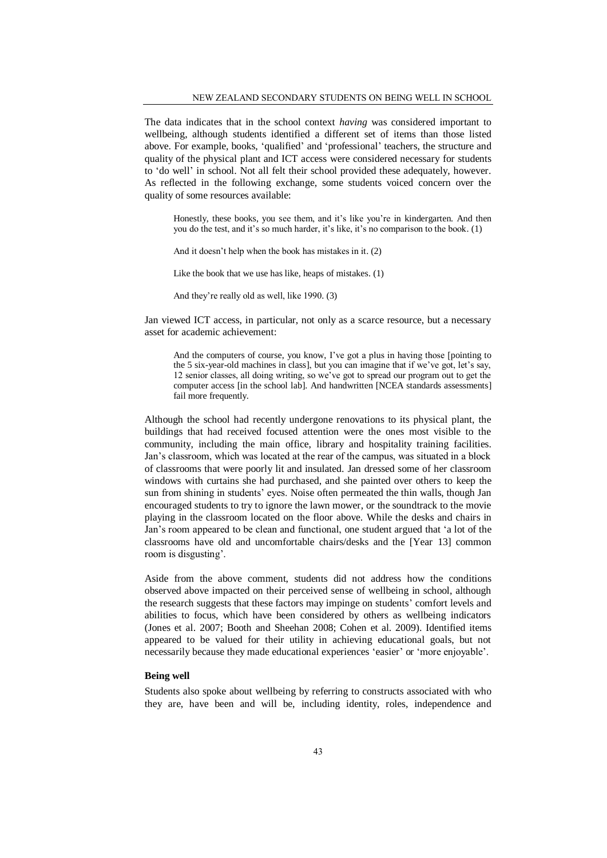The data indicates that in the school context *having* was considered important to wellbeing, although students identified a different set of items than those listed above. For example, books, 'qualified' and 'professional' teachers, the structure and quality of the physical plant and ICT access were considered necessary for students to 'do well' in school. Not all felt their school provided these adequately, however. As reflected in the following exchange, some students voiced concern over the quality of some resources available:

Honestly, these books, you see them, and it's like you're in kindergarten. And then you do the test, and it's so much harder, it's like, it's no comparison to the book. (1)

And it doesn't help when the book has mistakes in it. (2)

Like the book that we use has like, heaps of mistakes. (1)

And they're really old as well, like 1990. (3)

Jan viewed ICT access, in particular, not only as a scarce resource, but a necessary asset for academic achievement:

And the computers of course, you know, I've got a plus in having those [pointing to the 5 six-year-old machines in class], but you can imagine that if we've got, let's say, 12 senior classes, all doing writing, so we've got to spread our program out to get the computer access [in the school lab]. And handwritten [NCEA standards assessments] fail more frequently.

Although the school had recently undergone renovations to its physical plant, the buildings that had received focused attention were the ones most visible to the community, including the main office, library and hospitality training facilities. Jan's classroom, which was located at the rear of the campus, was situated in a block of classrooms that were poorly lit and insulated. Jan dressed some of her classroom windows with curtains she had purchased, and she painted over others to keep the sun from shining in students' eyes. Noise often permeated the thin walls, though Jan encouraged students to try to ignore the lawn mower, or the soundtrack to the movie playing in the classroom located on the floor above. While the desks and chairs in Jan's room appeared to be clean and functional, one student argued that 'a lot of the classrooms have old and uncomfortable chairs/desks and the [Year 13] common room is disgusting'.

Aside from the above comment, students did not address how the conditions observed above impacted on their perceived sense of wellbeing in school, although the research suggests that these factors may impinge on students' comfort levels and abilities to focus, which have been considered by others as wellbeing indicators (Jones et al. 2007; Booth and Sheehan 2008; Cohen et al. 2009). Identified items appeared to be valued for their utility in achieving educational goals, but not necessarily because they made educational experiences 'easier' or 'more enjoyable'.

## **Being well**

Students also spoke about wellbeing by referring to constructs associated with who they are, have been and will be, including identity, roles, independence and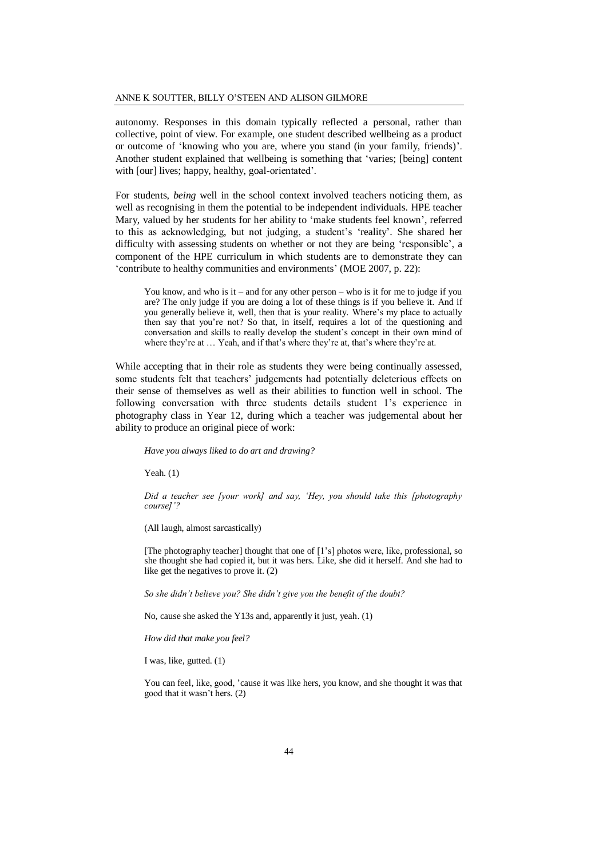autonomy. Responses in this domain typically reflected a personal, rather than collective, point of view. For example, one student described wellbeing as a product or outcome of 'knowing who you are, where you stand (in your family, friends)'. Another student explained that wellbeing is something that 'varies; [being] content with [our] lives; happy, healthy, goal-orientated'.

For students, *being* well in the school context involved teachers noticing them, as well as recognising in them the potential to be independent individuals. HPE teacher Mary, valued by her students for her ability to 'make students feel known', referred to this as acknowledging, but not judging, a student's 'reality'. She shared her difficulty with assessing students on whether or not they are being 'responsible', a component of the HPE curriculum in which students are to demonstrate they can 'contribute to healthy communities and environments' (MOE 2007, p. 22):

You know, and who is it – and for any other person – who is it for me to judge if you are? The only judge if you are doing a lot of these things is if you believe it. And if you generally believe it, well, then that is your reality. Where's my place to actually then say that you're not? So that, in itself, requires a lot of the questioning and conversation and skills to really develop the student's concept in their own mind of where they're at ... Yeah, and if that's where they're at, that's where they're at.

While accepting that in their role as students they were being continually assessed, some students felt that teachers' judgements had potentially deleterious effects on their sense of themselves as well as their abilities to function well in school. The following conversation with three students details student 1's experience in photography class in Year 12, during which a teacher was judgemental about her ability to produce an original piece of work:

*Have you always liked to do art and drawing?*

Yeah. (1)

*Did a teacher see [your work] and say, 'Hey, you should take this [photography course]'?*

(All laugh, almost sarcastically)

[The photography teacher] thought that one of [1's] photos were, like, professional, so she thought she had copied it, but it was hers. Like, she did it herself. And she had to like get the negatives to prove it. (2)

*So she didn't believe you? She didn't give you the benefit of the doubt?*

No, cause she asked the Y13s and, apparently it just, yeah. (1)

*How did that make you feel?*

I was, like, gutted. (1)

You can feel, like, good, 'cause it was like hers, you know, and she thought it was that good that it wasn't hers. (2)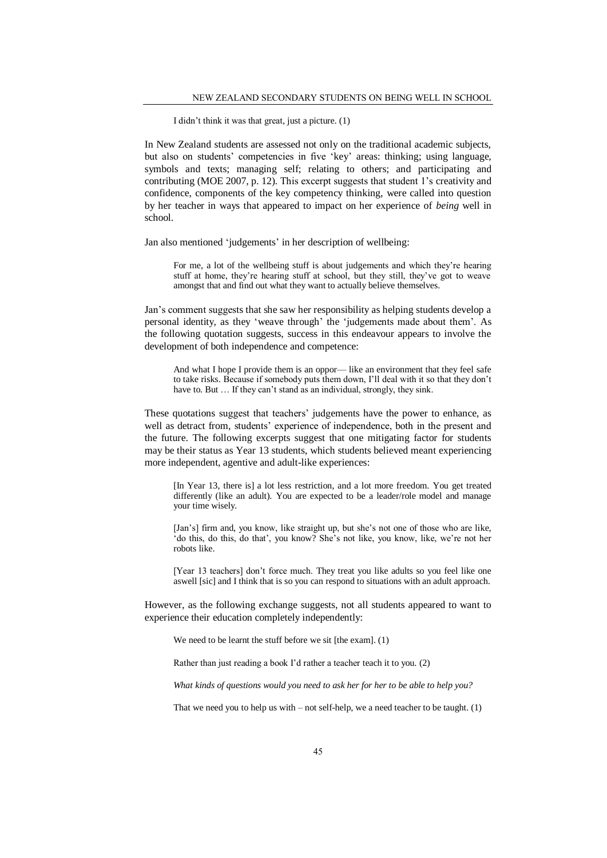I didn't think it was that great, just a picture. (1)

In New Zealand students are assessed not only on the traditional academic subjects, but also on students' competencies in five 'key' areas: thinking; using language, symbols and texts; managing self; relating to others; and participating and contributing (MOE 2007, p. 12). This excerpt suggests that student 1's creativity and confidence, components of the key competency thinking, were called into question by her teacher in ways that appeared to impact on her experience of *being* well in school.

Jan also mentioned 'judgements' in her description of wellbeing:

For me, a lot of the wellbeing stuff is about judgements and which they're hearing stuff at home, they're hearing stuff at school, but they still, they've got to weave amongst that and find out what they want to actually believe themselves.

Jan's comment suggests that she saw her responsibility as helping students develop a personal identity, as they 'weave through' the 'judgements made about them'. As the following quotation suggests, success in this endeavour appears to involve the development of both independence and competence:

And what I hope I provide them is an oppor— like an environment that they feel safe to take risks. Because if somebody puts them down, I'll deal with it so that they don't have to. But ... If they can't stand as an individual, strongly, they sink.

These quotations suggest that teachers' judgements have the power to enhance, as well as detract from, students' experience of independence, both in the present and the future. The following excerpts suggest that one mitigating factor for students may be their status as Year 13 students, which students believed meant experiencing more independent, agentive and adult-like experiences:

[In Year 13, there is] a lot less restriction, and a lot more freedom. You get treated differently (like an adult). You are expected to be a leader/role model and manage your time wisely.

[Jan's] firm and, you know, like straight up, but she's not one of those who are like, 'do this, do this, do that', you know? She's not like, you know, like, we're not her robots like.

[Year 13 teachers] don't force much. They treat you like adults so you feel like one aswell [sic] and I think that is so you can respond to situations with an adult approach.

However, as the following exchange suggests, not all students appeared to want to experience their education completely independently:

We need to be learnt the stuff before we sit [the exam]. (1)

Rather than just reading a book I'd rather a teacher teach it to you. (2)

*What kinds of questions would you need to ask her for her to be able to help you?*

That we need you to help us with  $-$  not self-help, we a need teacher to be taught.  $(1)$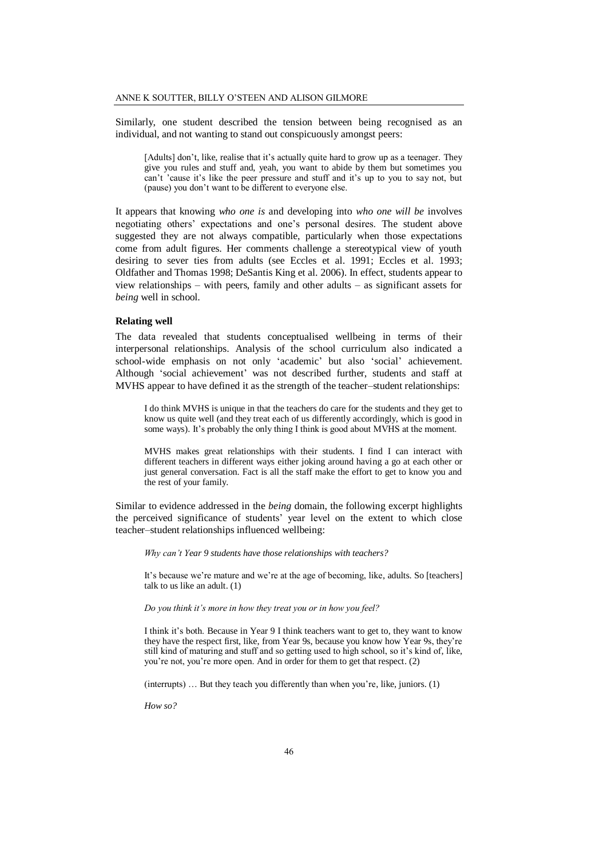Similarly, one student described the tension between being recognised as an individual, and not wanting to stand out conspicuously amongst peers:

[Adults] don't, like, realise that it's actually quite hard to grow up as a teenager. They give you rules and stuff and, yeah, you want to abide by them but sometimes you can't 'cause it's like the peer pressure and stuff and it's up to you to say not, but (pause) you don't want to be different to everyone else.

It appears that knowing *who one is* and developing into *who one will be* involves negotiating others' expectations and one's personal desires. The student above suggested they are not always compatible, particularly when those expectations come from adult figures. Her comments challenge a stereotypical view of youth desiring to sever ties from adults (see Eccles et al. 1991; Eccles et al. 1993; Oldfather and Thomas 1998; DeSantis King et al. 2006). In effect, students appear to view relationships – with peers, family and other adults – as significant assets for *being* well in school.

#### **Relating well**

The data revealed that students conceptualised wellbeing in terms of their interpersonal relationships. Analysis of the school curriculum also indicated a school-wide emphasis on not only 'academic' but also 'social' achievement. Although 'social achievement' was not described further, students and staff at MVHS appear to have defined it as the strength of the teacher–student relationships:

I do think MVHS is unique in that the teachers do care for the students and they get to know us quite well (and they treat each of us differently accordingly, which is good in some ways). It's probably the only thing I think is good about MVHS at the moment.

MVHS makes great relationships with their students. I find I can interact with different teachers in different ways either joking around having a go at each other or just general conversation. Fact is all the staff make the effort to get to know you and the rest of your family.

Similar to evidence addressed in the *being* domain, the following excerpt highlights the perceived significance of students' year level on the extent to which close teacher–student relationships influenced wellbeing:

*Why can't Year 9 students have those relationships with teachers?* 

It's because we're mature and we're at the age of becoming, like, adults. So [teachers] talk to us like an adult. (1)

#### *Do you think it's more in how they treat you or in how you feel?*

I think it's both. Because in Year 9 I think teachers want to get to, they want to know they have the respect first, like, from Year 9s, because you know how Year 9s, they're still kind of maturing and stuff and so getting used to high school, so it's kind of, like, you're not, you're more open. And in order for them to get that respect. (2)

(interrupts) … But they teach you differently than when you're, like, juniors. (1)

*How so?*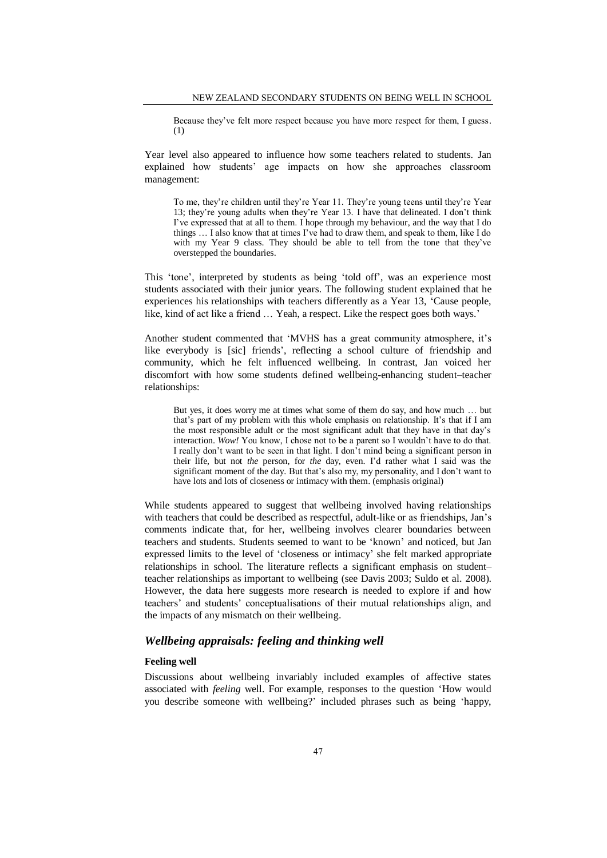Because they've felt more respect because you have more respect for them, I guess. (1)

Year level also appeared to influence how some teachers related to students. Jan explained how students' age impacts on how she approaches classroom management:

To me, they're children until they're Year 11. They're young teens until they're Year 13; they're young adults when they're Year 13. I have that delineated. I don't think I've expressed that at all to them. I hope through my behaviour, and the way that I do things … I also know that at times I've had to draw them, and speak to them, like I do with my Year 9 class. They should be able to tell from the tone that they've overstepped the boundaries.

This 'tone', interpreted by students as being 'told off', was an experience most students associated with their junior years. The following student explained that he experiences his relationships with teachers differently as a Year 13, 'Cause people, like, kind of act like a friend … Yeah, a respect. Like the respect goes both ways.'

Another student commented that 'MVHS has a great community atmosphere, it's like everybody is [sic] friends', reflecting a school culture of friendship and community, which he felt influenced wellbeing. In contrast, Jan voiced her discomfort with how some students defined wellbeing-enhancing student–teacher relationships:

But yes, it does worry me at times what some of them do say, and how much … but that's part of my problem with this whole emphasis on relationship. It's that if I am the most responsible adult or the most significant adult that they have in that day's interaction. *Wow!* You know, I chose not to be a parent so I wouldn't have to do that. I really don't want to be seen in that light. I don't mind being a significant person in their life, but not *the* person, for *the* day, even. I'd rather what I said was the significant moment of the day. But that's also my, my personality, and I don't want to have lots and lots of closeness or intimacy with them. (emphasis original)

While students appeared to suggest that wellbeing involved having relationships with teachers that could be described as respectful, adult-like or as friendships, Jan's comments indicate that, for her, wellbeing involves clearer boundaries between teachers and students. Students seemed to want to be 'known' and noticed, but Jan expressed limits to the level of 'closeness or intimacy' she felt marked appropriate relationships in school. The literature reflects a significant emphasis on student– teacher relationships as important to wellbeing (see Davis 2003; Suldo et al. 2008). However, the data here suggests more research is needed to explore if and how teachers' and students' conceptualisations of their mutual relationships align, and the impacts of any mismatch on their wellbeing.

## *Wellbeing appraisals: feeling and thinking well*

#### **Feeling well**

Discussions about wellbeing invariably included examples of affective states associated with *feeling* well. For example, responses to the question 'How would you describe someone with wellbeing?' included phrases such as being 'happy,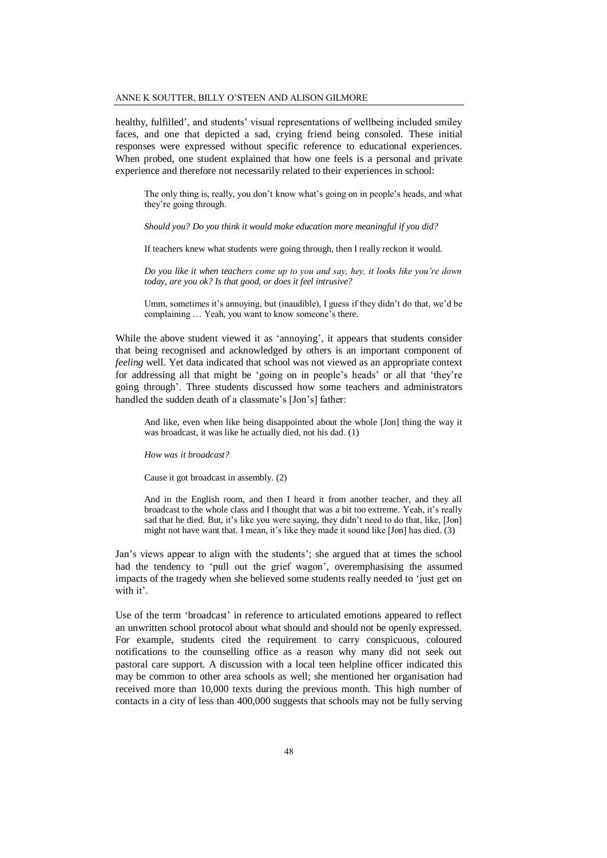healthy, fulfilled', and students' visual representations of wellbeing included smiley faces, and one that depicted a sad, crying friend being consoled. These initial responses were expressed without specific reference to educational experiences. When probed, one student explained that how one feels is a personal and private experience and therefore not necessarily related to their experiences in school:

The only thing is, really, you don't know what's going on in people's heads, and what they're going through.

*Should you? Do you think it would make education more meaningful if you did?*

If teachers knew what students were going through, then I really reckon it would.

*Do you like it when teachers come up to you and say, hey, it looks like you're down today, are you ok? Is that good, or does it feel intrusive?* 

Umm, sometimes it's annoying, but (inaudible), I guess if they didn't do that, we'd be complaining … Yeah, you want to know someone's there.

While the above student viewed it as 'annoying', it appears that students consider that being recognised and acknowledged by others is an important component of *feeling* well. Yet data indicated that school was not viewed as an appropriate context for addressing all that might be 'going on in people's heads' or all that 'they're going through'. Three students discussed how some teachers and administrators handled the sudden death of a classmate's [Jon's] father:

And like, even when like being disappointed about the whole [Jon] thing the way it was broadcast, it was like he actually died, not his dad. (1)

*How was it broadcast?*

Cause it got broadcast in assembly. (2)

And in the English room, and then I heard it from another teacher, and they all broadcast to the whole class and I thought that was a bit too extreme. Yeah, it's really sad that he died. But, it's like you were saying, they didn't need to do that, like, [Jon] might not have want that. I mean, it's like they made it sound like [Jon] has died. (3)

Jan's views appear to align with the students'; she argued that at times the school had the tendency to 'pull out the grief wagon', overemphasising the assumed impacts of the tragedy when she believed some students really needed to 'just get on with it'.

Use of the term 'broadcast' in reference to articulated emotions appeared to reflect an unwritten school protocol about what should and should not be openly expressed. For example, students cited the requirement to carry conspicuous, coloured notifications to the counselling office as a reason why many did not seek out pastoral care support. A discussion with a local teen helpline officer indicated this may be common to other area schools as well; she mentioned her organisation had received more than 10,000 texts during the previous month. This high number of contacts in a city of less than 400,000 suggests that schools may not be fully serving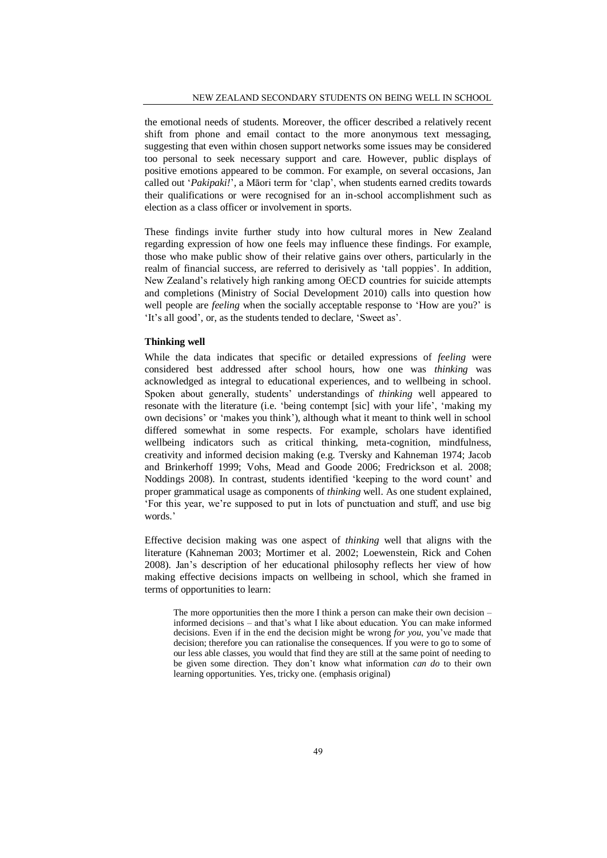the emotional needs of students. Moreover, the officer described a relatively recent shift from phone and email contact to the more anonymous text messaging, suggesting that even within chosen support networks some issues may be considered too personal to seek necessary support and care. However, public displays of positive emotions appeared to be common. For example, on several occasions, Jan called out '*Pakipaki!*', a Māori term for 'clap', when students earned credits towards their qualifications or were recognised for an in-school accomplishment such as election as a class officer or involvement in sports.

These findings invite further study into how cultural mores in New Zealand regarding expression of how one feels may influence these findings. For example, those who make public show of their relative gains over others, particularly in the realm of financial success, are referred to derisively as 'tall poppies'. In addition, New Zealand's relatively high ranking among OECD countries for suicide attempts and completions (Ministry of Social Development 2010) calls into question how well people are *feeling* when the socially acceptable response to 'How are you?' is 'It's all good', or, as the students tended to declare, 'Sweet as'.

## **Thinking well**

While the data indicates that specific or detailed expressions of *feeling* were considered best addressed after school hours, how one was *thinking* was acknowledged as integral to educational experiences, and to wellbeing in school. Spoken about generally, students' understandings of *thinking* well appeared to resonate with the literature (i.e. 'being contempt [sic] with your life', 'making my own decisions' or 'makes you think'), although what it meant to think well in school differed somewhat in some respects. For example, scholars have identified wellbeing indicators such as critical thinking, meta-cognition, mindfulness, creativity and informed decision making (e.g. Tversky and Kahneman 1974; Jacob and Brinkerhoff 1999; Vohs, Mead and Goode 2006; Fredrickson et al. 2008; Noddings 2008). In contrast, students identified 'keeping to the word count' and proper grammatical usage as components of *thinking* well. As one student explained, 'For this year, we're supposed to put in lots of punctuation and stuff, and use big words.'

Effective decision making was one aspect of *thinking* well that aligns with the literature (Kahneman 2003; Mortimer et al. 2002; Loewenstein, Rick and Cohen 2008). Jan's description of her educational philosophy reflects her view of how making effective decisions impacts on wellbeing in school, which she framed in terms of opportunities to learn:

The more opportunities then the more I think a person can make their own decision – informed decisions – and that's what I like about education. You can make informed decisions. Even if in the end the decision might be wrong *for you*, you've made that decision; therefore you can rationalise the consequences. If you were to go to some of our less able classes, you would that find they are still at the same point of needing to be given some direction. They don't know what information *can do* to their own learning opportunities. Yes, tricky one. (emphasis original)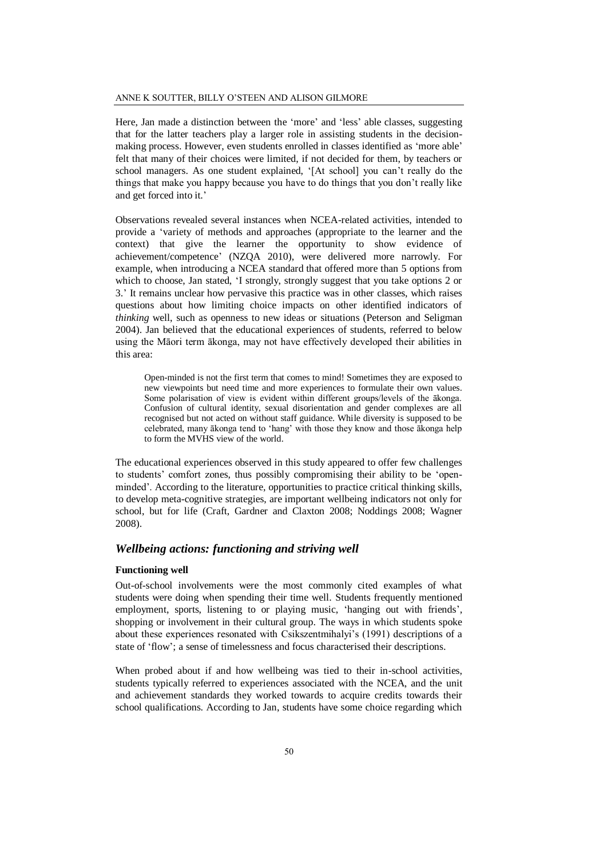Here, Jan made a distinction between the 'more' and 'less' able classes, suggesting that for the latter teachers play a larger role in assisting students in the decisionmaking process. However, even students enrolled in classes identified as 'more able' felt that many of their choices were limited, if not decided for them, by teachers or school managers. As one student explained, '[At school] you can't really do the things that make you happy because you have to do things that you don't really like and get forced into it.'

Observations revealed several instances when NCEA-related activities, intended to provide a 'variety of methods and approaches (appropriate to the learner and the context) that give the learner the opportunity to show evidence of achievement/competence' (NZQA 2010), were delivered more narrowly. For example, when introducing a NCEA standard that offered more than 5 options from which to choose, Jan stated, 'I strongly, strongly suggest that you take options 2 or 3.' It remains unclear how pervasive this practice was in other classes, which raises questions about how limiting choice impacts on other identified indicators of *thinking* well, such as openness to new ideas or situations (Peterson and Seligman 2004). Jan believed that the educational experiences of students, referred to below using the Māori term ākonga, may not have effectively developed their abilities in this area:

Open-minded is not the first term that comes to mind! Sometimes they are exposed to new viewpoints but need time and more experiences to formulate their own values. Some polarisation of view is evident within different groups/levels of the ākonga. Confusion of cultural identity, sexual disorientation and gender complexes are all recognised but not acted on without staff guidance. While diversity is supposed to be celebrated, many ākonga tend to 'hang' with those they know and those ākonga help to form the MVHS view of the world.

The educational experiences observed in this study appeared to offer few challenges to students' comfort zones, thus possibly compromising their ability to be 'openminded'. According to the literature, opportunities to practice critical thinking skills, to develop meta-cognitive strategies, are important wellbeing indicators not only for school, but for life (Craft, Gardner and Claxton 2008; Noddings 2008; Wagner 2008).

## *Wellbeing actions: functioning and striving well*

#### **Functioning well**

Out-of-school involvements were the most commonly cited examples of what students were doing when spending their time well. Students frequently mentioned employment, sports, listening to or playing music, 'hanging out with friends', shopping or involvement in their cultural group. The ways in which students spoke about these experiences resonated with Csikszentmihalyi's (1991) descriptions of a state of 'flow'; a sense of timelessness and focus characterised their descriptions.

When probed about if and how wellbeing was tied to their in-school activities, students typically referred to experiences associated with the NCEA, and the unit and achievement standards they worked towards to acquire credits towards their school qualifications. According to Jan, students have some choice regarding which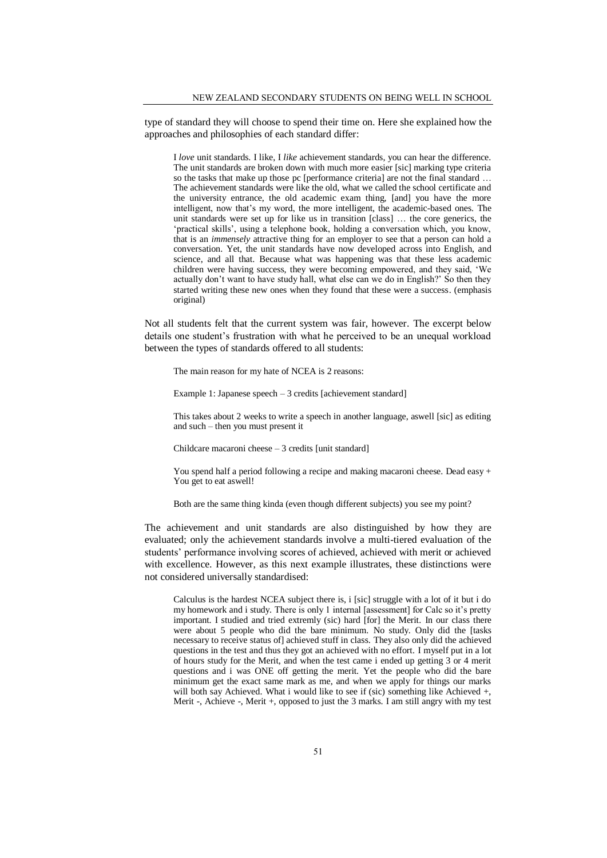type of standard they will choose to spend their time on. Here she explained how the approaches and philosophies of each standard differ:

I *love* unit standards. I like, I *like* achievement standards, you can hear the difference. The unit standards are broken down with much more easier [sic] marking type criteria so the tasks that make up those pc [performance criteria] are not the final standard … The achievement standards were like the old, what we called the school certificate and the university entrance, the old academic exam thing, [and] you have the more intelligent, now that's my word, the more intelligent, the academic-based ones. The unit standards were set up for like us in transition [class] … the core generics, the 'practical skills', using a telephone book, holding a conversation which, you know, that is an *immensely* attractive thing for an employer to see that a person can hold a conversation. Yet, the unit standards have now developed across into English, and science, and all that. Because what was happening was that these less academic children were having success, they were becoming empowered, and they said, 'We actually don't want to have study hall, what else can we do in English?' So then they started writing these new ones when they found that these were a success. (emphasis original)

Not all students felt that the current system was fair, however. The excerpt below details one student's frustration with what he perceived to be an unequal workload between the types of standards offered to all students:

The main reason for my hate of NCEA is 2 reasons:

Example 1: Japanese speech – 3 credits [achievement standard]

This takes about 2 weeks to write a speech in another language, aswell [sic] as editing and such – then you must present it

Childcare macaroni cheese – 3 credits [unit standard]

You spend half a period following a recipe and making macaroni cheese. Dead easy + You get to eat aswell!

Both are the same thing kinda (even though different subjects) you see my point?

The achievement and unit standards are also distinguished by how they are evaluated; only the achievement standards involve a multi-tiered evaluation of the students' performance involving scores of achieved, achieved with merit or achieved with excellence. However, as this next example illustrates, these distinctions were not considered universally standardised:

Calculus is the hardest NCEA subject there is, i [sic] struggle with a lot of it but i do my homework and i study. There is only 1 internal [assessment] for Calc so it's pretty important. I studied and tried extremly (sic) hard [for] the Merit. In our class there were about 5 people who did the bare minimum. No study. Only did the [tasks necessary to receive status of] achieved stuff in class. They also only did the achieved questions in the test and thus they got an achieved with no effort. I myself put in a lot of hours study for the Merit, and when the test came i ended up getting 3 or 4 merit questions and i was ONE off getting the merit. Yet the people who did the bare minimum get the exact same mark as me, and when we apply for things our marks will both say Achieved. What i would like to see if (sic) something like Achieved +, Merit -, Achieve -, Merit +, opposed to just the 3 marks. I am still angry with my test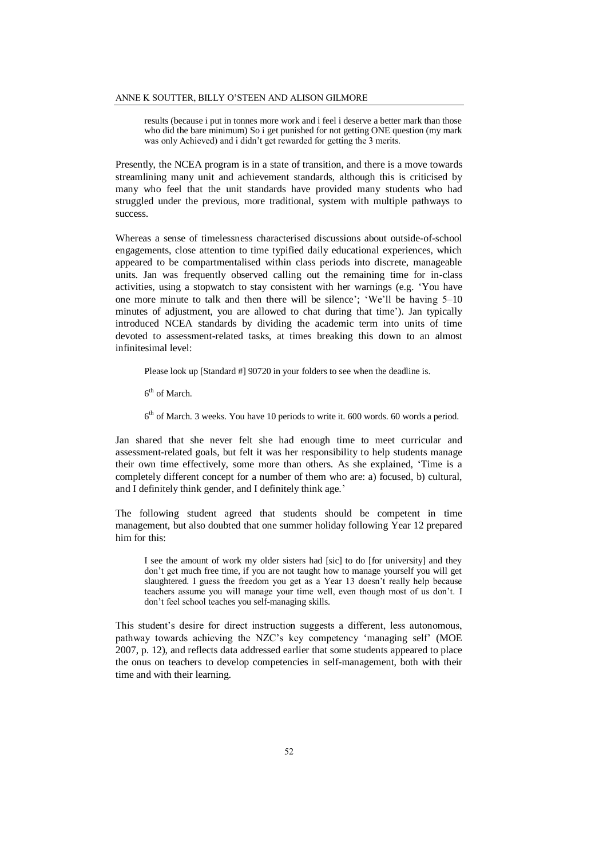results (because i put in tonnes more work and i feel i deserve a better mark than those who did the bare minimum) So i get punished for not getting ONE question (my mark was only Achieved) and i didn't get rewarded for getting the 3 merits.

Presently, the NCEA program is in a state of transition, and there is a move towards streamlining many unit and achievement standards, although this is criticised by many who feel that the unit standards have provided many students who had struggled under the previous, more traditional, system with multiple pathways to success.

Whereas a sense of timelessness characterised discussions about outside-of-school engagements, close attention to time typified daily educational experiences, which appeared to be compartmentalised within class periods into discrete, manageable units. Jan was frequently observed calling out the remaining time for in-class activities, using a stopwatch to stay consistent with her warnings (e.g. 'You have one more minute to talk and then there will be silence'; 'We'll be having 5–10 minutes of adjustment, you are allowed to chat during that time'). Jan typically introduced NCEA standards by dividing the academic term into units of time devoted to assessment-related tasks, at times breaking this down to an almost infinitesimal level:

Please look up [Standard #] 90720 in your folders to see when the deadline is.

6<sup>th</sup> of March.

6<sup>th</sup> of March. 3 weeks. You have 10 periods to write it. 600 words. 60 words a period.

Jan shared that she never felt she had enough time to meet curricular and assessment-related goals, but felt it was her responsibility to help students manage their own time effectively, some more than others. As she explained, 'Time is a completely different concept for a number of them who are: a) focused, b) cultural, and I definitely think gender, and I definitely think age.'

The following student agreed that students should be competent in time management, but also doubted that one summer holiday following Year 12 prepared him for this:

I see the amount of work my older sisters had [sic] to do [for university] and they don't get much free time, if you are not taught how to manage yourself you will get slaughtered. I guess the freedom you get as a Year 13 doesn't really help because teachers assume you will manage your time well, even though most of us don't. I don't feel school teaches you self-managing skills.

This student's desire for direct instruction suggests a different, less autonomous, pathway towards achieving the NZC's key competency 'managing self' (MOE 2007, p. 12), and reflects data addressed earlier that some students appeared to place the onus on teachers to develop competencies in self-management, both with their time and with their learning.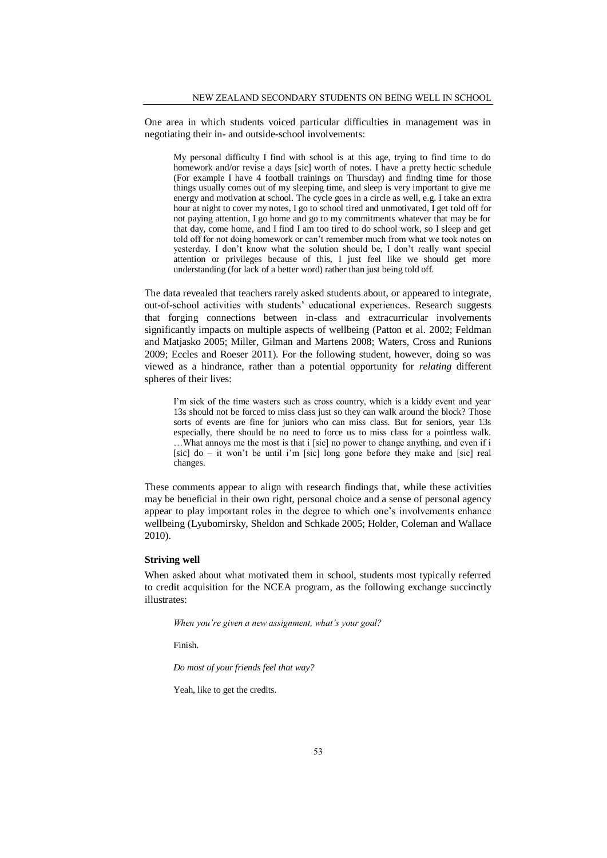One area in which students voiced particular difficulties in management was in negotiating their in- and outside-school involvements:

My personal difficulty I find with school is at this age, trying to find time to do homework and/or revise a days [sic] worth of notes. I have a pretty hectic schedule (For example I have 4 football trainings on Thursday) and finding time for those things usually comes out of my sleeping time, and sleep is very important to give me energy and motivation at school. The cycle goes in a circle as well, e.g. I take an extra hour at night to cover my notes, I go to school tired and unmotivated, I get told off for not paying attention, I go home and go to my commitments whatever that may be for that day, come home, and I find I am too tired to do school work, so I sleep and get told off for not doing homework or can't remember much from what we took notes on yesterday. I don't know what the solution should be, I don't really want special attention or privileges because of this, I just feel like we should get more understanding (for lack of a better word) rather than just being told off.

The data revealed that teachers rarely asked students about, or appeared to integrate, out-of-school activities with students' educational experiences. Research suggests that forging connections between in-class and extracurricular involvements significantly impacts on multiple aspects of wellbeing (Patton et al. 2002; Feldman and Matjasko 2005; Miller, Gilman and Martens 2008; Waters, Cross and Runions 2009; Eccles and Roeser 2011). For the following student, however, doing so was viewed as a hindrance, rather than a potential opportunity for *relating* different spheres of their lives:

I'm sick of the time wasters such as cross country, which is a kiddy event and year 13s should not be forced to miss class just so they can walk around the block? Those sorts of events are fine for juniors who can miss class. But for seniors, year 13s especially, there should be no need to force us to miss class for a pointless walk. …What annoys me the most is that i [sic] no power to change anything, and even if i [sic] do – it won't be until i'm [sic] long gone before they make and [sic] real changes.

These comments appear to align with research findings that, while these activities may be beneficial in their own right, personal choice and a sense of personal agency appear to play important roles in the degree to which one's involvements enhance wellbeing (Lyubomirsky, Sheldon and Schkade 2005; Holder, Coleman and Wallace 2010).

## **Striving well**

When asked about what motivated them in school, students most typically referred to credit acquisition for the NCEA program, as the following exchange succinctly illustrates:

*When you're given a new assignment, what's your goal?*

Finish.

*Do most of your friends feel that way?*

Yeah, like to get the credits.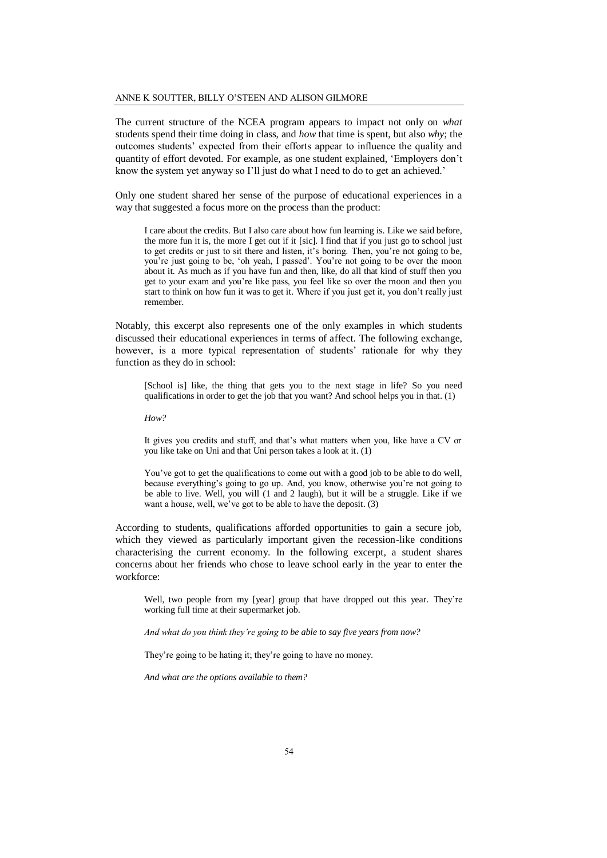The current structure of the NCEA program appears to impact not only on *what* students spend their time doing in class, and *how* that time is spent, but also *why*; the outcomes students' expected from their efforts appear to influence the quality and quantity of effort devoted. For example, as one student explained, 'Employers don't know the system yet anyway so I'll just do what I need to do to get an achieved.'

Only one student shared her sense of the purpose of educational experiences in a way that suggested a focus more on the process than the product:

I care about the credits. But I also care about how fun learning is. Like we said before, the more fun it is, the more I get out if it [sic]. I find that if you just go to school just to get credits or just to sit there and listen, it's boring. Then, you're not going to be, you're just going to be, 'oh yeah, I passed'. You're not going to be over the moon about it. As much as if you have fun and then, like, do all that kind of stuff then you get to your exam and you're like pass, you feel like so over the moon and then you start to think on how fun it was to get it. Where if you just get it, you don't really just remember.

Notably, this excerpt also represents one of the only examples in which students discussed their educational experiences in terms of affect. The following exchange, however, is a more typical representation of students' rationale for why they function as they do in school:

[School is] like, the thing that gets you to the next stage in life? So you need qualifications in order to get the job that you want? And school helps you in that. (1)

*How?*

It gives you credits and stuff, and that's what matters when you, like have a CV or you like take on Uni and that Uni person takes a look at it. (1)

You've got to get the qualifications to come out with a good job to be able to do well, because everything's going to go up. And, you know, otherwise you're not going to be able to live. Well, you will (1 and 2 laugh), but it will be a struggle. Like if we want a house, well, we've got to be able to have the deposit. (3)

According to students, qualifications afforded opportunities to gain a secure job, which they viewed as particularly important given the recession-like conditions characterising the current economy. In the following excerpt, a student shares concerns about her friends who chose to leave school early in the year to enter the workforce:

Well, two people from my [year] group that have dropped out this year. They're working full time at their supermarket job.

*And what do you think they're going to be able to say five years from now?*

They're going to be hating it; they're going to have no money.

*And what are the options available to them?*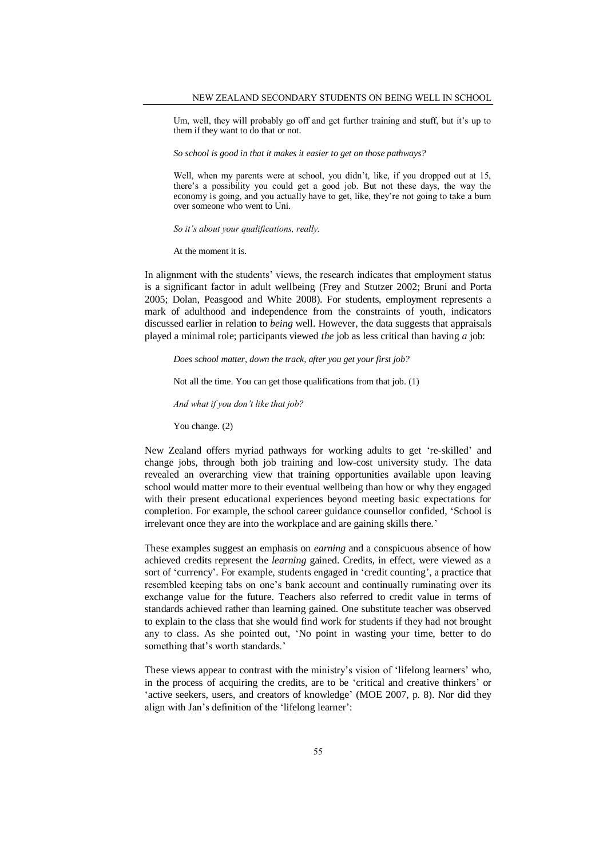Um, well, they will probably go off and get further training and stuff, but it's up to them if they want to do that or not.

*So school is good in that it makes it easier to get on those pathways?*

Well, when my parents were at school, you didn't, like, if you dropped out at 15, there's a possibility you could get a good job. But not these days, the way the economy is going, and you actually have to get, like, they're not going to take a bum over someone who went to Uni.

*So it's about your qualifications, really.*

At the moment it is.

In alignment with the students' views, the research indicates that employment status is a significant factor in adult wellbeing (Frey and Stutzer 2002; Bruni and Porta 2005; Dolan, Peasgood and White 2008). For students, employment represents a mark of adulthood and independence from the constraints of youth, indicators discussed earlier in relation to *being* well. However, the data suggests that appraisals played a minimal role; participants viewed *the* job as less critical than having *a* job:

*Does school matter, down the track, after you get your first job?*

Not all the time. You can get those qualifications from that job. (1)

*And what if you don't like that job?*

You change. (2)

New Zealand offers myriad pathways for working adults to get 're-skilled' and change jobs, through both job training and low-cost university study. The data revealed an overarching view that training opportunities available upon leaving school would matter more to their eventual wellbeing than how or why they engaged with their present educational experiences beyond meeting basic expectations for completion. For example, the school career guidance counsellor confided, 'School is irrelevant once they are into the workplace and are gaining skills there.'

These examples suggest an emphasis on *earning* and a conspicuous absence of how achieved credits represent the *learning* gained. Credits, in effect, were viewed as a sort of 'currency'. For example, students engaged in 'credit counting', a practice that resembled keeping tabs on one's bank account and continually ruminating over its exchange value for the future. Teachers also referred to credit value in terms of standards achieved rather than learning gained. One substitute teacher was observed to explain to the class that she would find work for students if they had not brought any to class. As she pointed out, 'No point in wasting your time, better to do something that's worth standards.'

These views appear to contrast with the ministry's vision of 'lifelong learners' who, in the process of acquiring the credits, are to be 'critical and creative thinkers' or 'active seekers, users, and creators of knowledge' (MOE 2007, p. 8). Nor did they align with Jan's definition of the 'lifelong learner':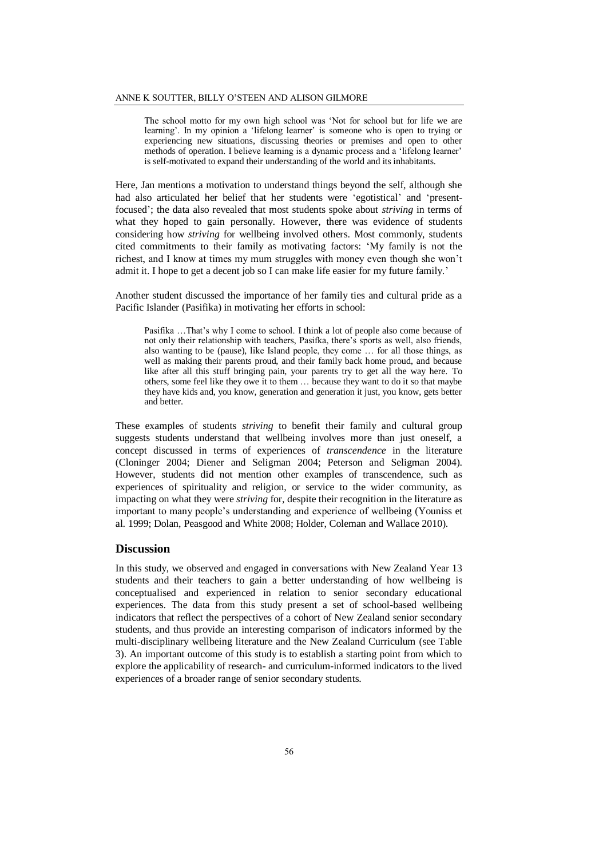The school motto for my own high school was 'Not for school but for life we are learning'. In my opinion a 'lifelong learner' is someone who is open to trying or experiencing new situations, discussing theories or premises and open to other methods of operation. I believe learning is a dynamic process and a 'lifelong learner' is self-motivated to expand their understanding of the world and its inhabitants.

Here, Jan mentions a motivation to understand things beyond the self, although she had also articulated her belief that her students were 'egotistical' and 'presentfocused'; the data also revealed that most students spoke about *striving* in terms of what they hoped to gain personally. However, there was evidence of students considering how *striving* for wellbeing involved others. Most commonly, students cited commitments to their family as motivating factors: 'My family is not the richest, and I know at times my mum struggles with money even though she won't admit it. I hope to get a decent job so I can make life easier for my future family.'

Another student discussed the importance of her family ties and cultural pride as a Pacific Islander (Pasifika) in motivating her efforts in school:

Pasifika …That's why I come to school. I think a lot of people also come because of not only their relationship with teachers, Pasifka, there's sports as well, also friends, also wanting to be (pause), like Island people, they come … for all those things, as well as making their parents proud, and their family back home proud, and because like after all this stuff bringing pain, your parents try to get all the way here. To others, some feel like they owe it to them … because they want to do it so that maybe they have kids and, you know, generation and generation it just, you know, gets better and better.

These examples of students *striving* to benefit their family and cultural group suggests students understand that wellbeing involves more than just oneself, a concept discussed in terms of experiences of *transcendence* in the literature (Cloninger 2004; Diener and Seligman 2004; Peterson and Seligman 2004). However, students did not mention other examples of transcendence, such as experiences of spirituality and religion, or service to the wider community, as impacting on what they were *striving* for, despite their recognition in the literature as important to many people's understanding and experience of wellbeing (Youniss et al. 1999; Dolan, Peasgood and White 2008; Holder, Coleman and Wallace 2010).

## **Discussion**

In this study, we observed and engaged in conversations with New Zealand Year 13 students and their teachers to gain a better understanding of how wellbeing is conceptualised and experienced in relation to senior secondary educational experiences. The data from this study present a set of school-based wellbeing indicators that reflect the perspectives of a cohort of New Zealand senior secondary students, and thus provide an interesting comparison of indicators informed by the multi-disciplinary wellbeing literature and the New Zealand Curriculum (see Table 3). An important outcome of this study is to establish a starting point from which to explore the applicability of research- and curriculum-informed indicators to the lived experiences of a broader range of senior secondary students.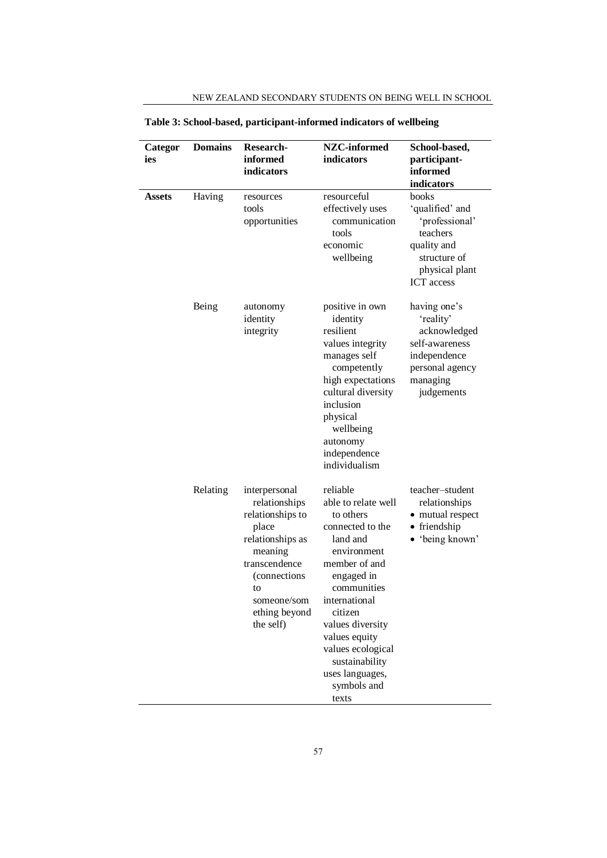| Categor | <b>Domains</b> | Research-                                                                                                                                                                       | NZC-informed                                                                                                                                                                                                                                                                                 | School-based,                                                                                                                |
|---------|----------------|---------------------------------------------------------------------------------------------------------------------------------------------------------------------------------|----------------------------------------------------------------------------------------------------------------------------------------------------------------------------------------------------------------------------------------------------------------------------------------------|------------------------------------------------------------------------------------------------------------------------------|
| ies     |                | informed                                                                                                                                                                        | indicators                                                                                                                                                                                                                                                                                   | participant-                                                                                                                 |
|         |                | indicators                                                                                                                                                                      |                                                                                                                                                                                                                                                                                              | informed                                                                                                                     |
|         |                |                                                                                                                                                                                 |                                                                                                                                                                                                                                                                                              | indicators                                                                                                                   |
| Assets  | Having         | resources<br>tools<br>opportunities                                                                                                                                             | resourceful<br>effectively uses<br>communication<br>tools<br>economic<br>wellbeing                                                                                                                                                                                                           | books<br>'qualified' and<br>'professional'<br>teachers<br>quality and<br>structure of<br>physical plant<br><b>ICT</b> access |
|         | Being          | autonomy<br>identity<br>integrity                                                                                                                                               | positive in own<br>identity<br>resilient<br>values integrity<br>manages self<br>competently<br>high expectations<br>cultural diversity<br>inclusion<br>physical<br>wellbeing<br>autonomy<br>independence<br>individualism                                                                    | having one's<br>'reality'<br>acknowledged<br>self-awareness<br>independence<br>personal agency<br>managing<br>judgements     |
|         | Relating       | interpersonal<br>relationships<br>relationships to<br>place<br>relationships as<br>meaning<br>transcendence<br>(connections)<br>to<br>someone/som<br>ething beyond<br>the self) | reliable<br>able to relate well<br>to others<br>connected to the<br>land and<br>environment<br>member of and<br>engaged in<br>communities<br>international<br>citizen<br>values diversity<br>values equity<br>values ecological<br>sustainability<br>uses languages,<br>symbols and<br>texts | teacher-student<br>relationships<br>• mutual respect<br>• friendship<br>• 'being known'                                      |

**Table 3: School-based, participant-informed indicators of wellbeing**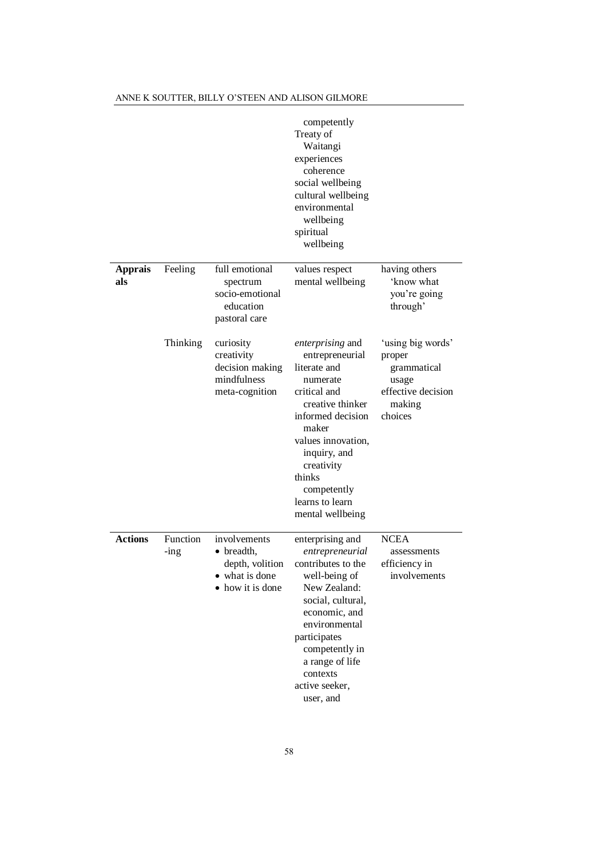|                       |                     |                                                                                             | competently<br>Treaty of<br>Waitangi<br>experiences<br>coherence<br>social wellbeing<br>cultural wellbeing<br>environmental<br>wellbeing<br>spiritual<br>wellbeing                                                                                    |                                                                                                |
|-----------------------|---------------------|---------------------------------------------------------------------------------------------|-------------------------------------------------------------------------------------------------------------------------------------------------------------------------------------------------------------------------------------------------------|------------------------------------------------------------------------------------------------|
| <b>Apprais</b><br>als | Feeling             | full emotional<br>spectrum<br>socio-emotional<br>education<br>pastoral care                 | values respect<br>mental wellbeing                                                                                                                                                                                                                    | having others<br>'know what<br>you're going<br>through'                                        |
|                       | Thinking            | curiosity<br>creativity<br>decision making<br>mindfulness<br>meta-cognition                 | enterprising and<br>entrepreneurial<br>literate and<br>numerate<br>critical and<br>creative thinker<br>informed decision<br>maker<br>values innovation,<br>inquiry, and<br>creativity<br>thinks<br>competently<br>learns to learn<br>mental wellbeing | 'using big words'<br>proper<br>grammatical<br>usage<br>effective decision<br>making<br>choices |
| <b>Actions</b>        | Function<br>$-$ ing | involvements<br>$\bullet$ breadth,<br>depth, volition<br>• what is done<br>• how it is done | enterprising and<br>entrepreneurial<br>contributes to the<br>well-being of<br>New Zealand:<br>social, cultural,<br>economic, and<br>environmental<br>participates<br>competently in<br>a range of life<br>contexts<br>active seeker,<br>user, and     | <b>NCEA</b><br>assessments<br>efficiency in<br>involvements                                    |

## ANNE K SOUTTER, BILLY O'STEEN AND ALISON GILMORE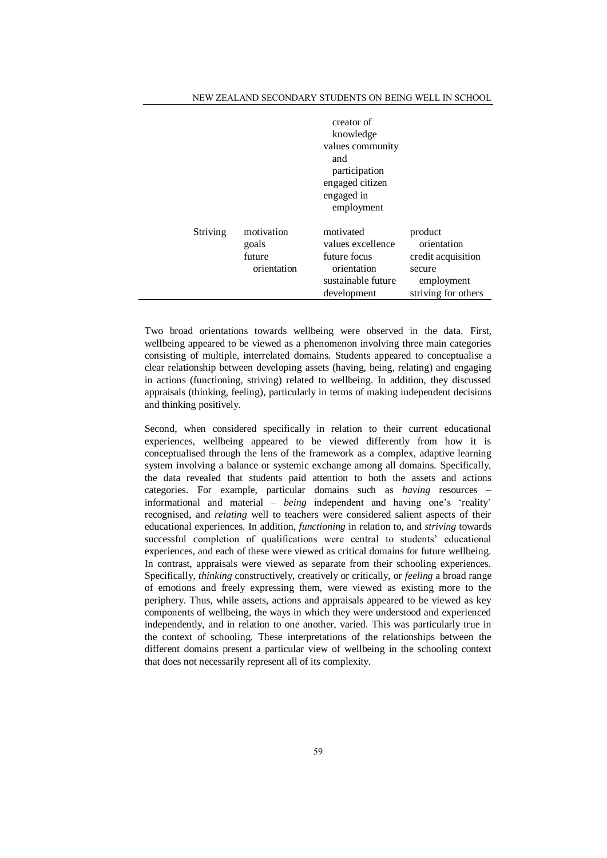| NEW ZEALAND SECONDARY STUDENTS ON BEING WELL IN SCHOOL |
|--------------------------------------------------------|
|--------------------------------------------------------|

|          |                                              | creator of<br>knowledge<br>values community<br>and<br>participation<br>engaged citizen<br>engaged in<br>employment |                                                                                             |
|----------|----------------------------------------------|--------------------------------------------------------------------------------------------------------------------|---------------------------------------------------------------------------------------------|
| Striving | motivation<br>goals<br>future<br>orientation | motivated<br>values excellence<br>future focus<br>orientation<br>sustainable future<br>development                 | product<br>orientation<br>credit acquisition<br>secure<br>employment<br>striving for others |

Two broad orientations towards wellbeing were observed in the data. First, wellbeing appeared to be viewed as a phenomenon involving three main categories consisting of multiple, interrelated domains. Students appeared to conceptualise a clear relationship between developing assets (having, being, relating) and engaging in actions (functioning, striving) related to wellbeing. In addition, they discussed appraisals (thinking, feeling), particularly in terms of making independent decisions and thinking positively.

Second, when considered specifically in relation to their current educational experiences, wellbeing appeared to be viewed differently from how it is conceptualised through the lens of the framework as a complex, adaptive learning system involving a balance or systemic exchange among all domains. Specifically, the data revealed that students paid attention to both the assets and actions categories. For example, particular domains such as *having* resources – informational and material – *being* independent and having one's 'reality' recognised, and *relating* well to teachers were considered salient aspects of their educational experiences. In addition, *functioning* in relation to, and *striving* towards successful completion of qualifications were central to students' educational experiences, and each of these were viewed as critical domains for future wellbeing. In contrast, appraisals were viewed as separate from their schooling experiences. Specifically, *thinking* constructively, creatively or critically, or *feeling* a broad range of emotions and freely expressing them, were viewed as existing more to the periphery. Thus, while assets, actions and appraisals appeared to be viewed as key components of wellbeing, the ways in which they were understood and experienced independently, and in relation to one another, varied. This was particularly true in the context of schooling. These interpretations of the relationships between the different domains present a particular view of wellbeing in the schooling context that does not necessarily represent all of its complexity.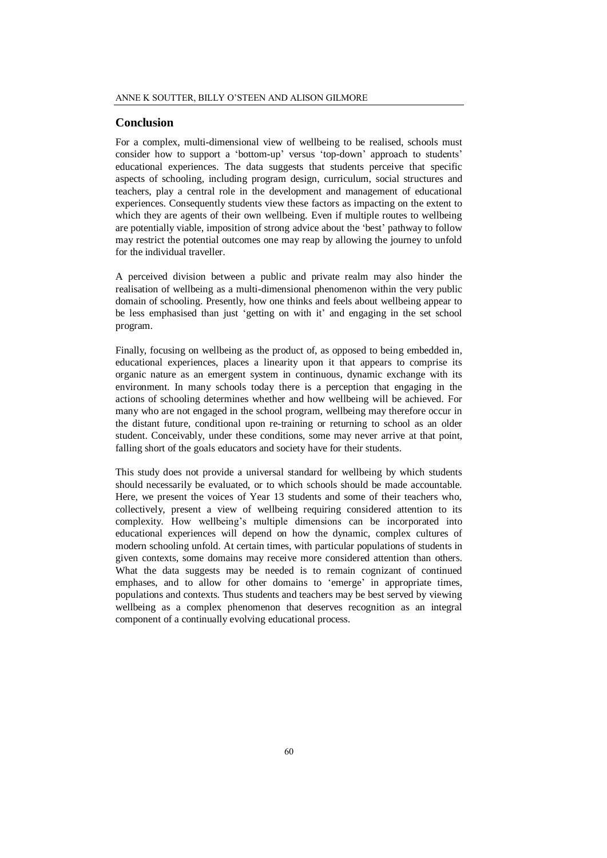## **Conclusion**

For a complex, multi-dimensional view of wellbeing to be realised, schools must consider how to support a 'bottom-up' versus 'top-down' approach to students' educational experiences. The data suggests that students perceive that specific aspects of schooling, including program design, curriculum, social structures and teachers, play a central role in the development and management of educational experiences. Consequently students view these factors as impacting on the extent to which they are agents of their own wellbeing. Even if multiple routes to wellbeing are potentially viable, imposition of strong advice about the 'best' pathway to follow may restrict the potential outcomes one may reap by allowing the journey to unfold for the individual traveller.

A perceived division between a public and private realm may also hinder the realisation of wellbeing as a multi-dimensional phenomenon within the very public domain of schooling. Presently, how one thinks and feels about wellbeing appear to be less emphasised than just 'getting on with it' and engaging in the set school program.

Finally, focusing on wellbeing as the product of, as opposed to being embedded in, educational experiences, places a linearity upon it that appears to comprise its organic nature as an emergent system in continuous, dynamic exchange with its environment. In many schools today there is a perception that engaging in the actions of schooling determines whether and how wellbeing will be achieved. For many who are not engaged in the school program, wellbeing may therefore occur in the distant future, conditional upon re-training or returning to school as an older student. Conceivably, under these conditions, some may never arrive at that point, falling short of the goals educators and society have for their students.

This study does not provide a universal standard for wellbeing by which students should necessarily be evaluated, or to which schools should be made accountable. Here, we present the voices of Year 13 students and some of their teachers who, collectively, present a view of wellbeing requiring considered attention to its complexity. How wellbeing's multiple dimensions can be incorporated into educational experiences will depend on how the dynamic, complex cultures of modern schooling unfold. At certain times, with particular populations of students in given contexts, some domains may receive more considered attention than others. What the data suggests may be needed is to remain cognizant of continued emphases, and to allow for other domains to 'emerge' in appropriate times, populations and contexts. Thus students and teachers may be best served by viewing wellbeing as a complex phenomenon that deserves recognition as an integral component of a continually evolving educational process.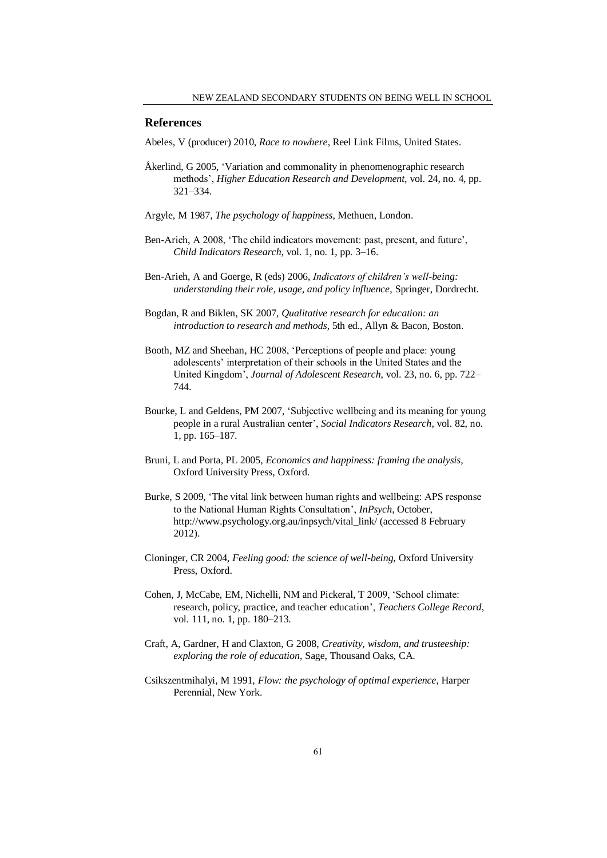## **References**

Abeles, V (producer) 2010, *Race to nowhere*, Reel Link Films, United States.

- Åkerlind, G 2005, 'Variation and commonality in phenomenographic research methods', *Higher Education Research and Development*, vol. 24, no. 4, pp. 321–334.
- Argyle, M 1987, *The psychology of happiness*, Methuen, London.
- Ben-Arieh, A 2008, 'The child indicators movement: past, present, and future', *Child Indicators Research*, vol. 1, no. 1, pp. 3–16.
- Ben-Arieh, A and Goerge, R (eds) 2006, *Indicators of children's well-being: understanding their role, usage, and policy influence*, Springer, Dordrecht.
- Bogdan, R and Biklen, SK 2007, *Qualitative research for education: an introduction to research and methods*, 5th ed., Allyn & Bacon, Boston.
- Booth, MZ and Sheehan, HC 2008, 'Perceptions of people and place: young adolescents' interpretation of their schools in the United States and the United Kingdom', *Journal of Adolescent Research*, vol. 23, no. 6, pp. 722– 744.
- Bourke, L and Geldens, PM 2007, 'Subjective wellbeing and its meaning for young people in a rural Australian center', *Social Indicators Research*, vol. 82, no. 1, pp. 165–187.
- Bruni, L and Porta, PL 2005, *Economics and happiness: framing the analysis*, Oxford University Press, Oxford.
- Burke, S 2009, 'The vital link between human rights and wellbeing: APS response to the National Human Rights Consultation', *InPsych*, October, http://www.psychology.org.au/inpsych/vital\_link/ (accessed 8 February 2012).
- Cloninger, CR 2004, *Feeling good: the science of well-being*, Oxford University Press, Oxford.
- Cohen, J, McCabe, EM, Nichelli, NM and Pickeral, T 2009, 'School climate: research, policy, practice, and teacher education', *Teachers College Record*, vol. 111, no. 1, pp. 180–213.
- Craft, A, Gardner, H and Claxton, G 2008, *Creativity, wisdom, and trusteeship: exploring the role of education*, Sage, Thousand Oaks, CA.
- Csikszentmihalyi, M 1991, *Flow: the psychology of optimal experience*, Harper Perennial, New York.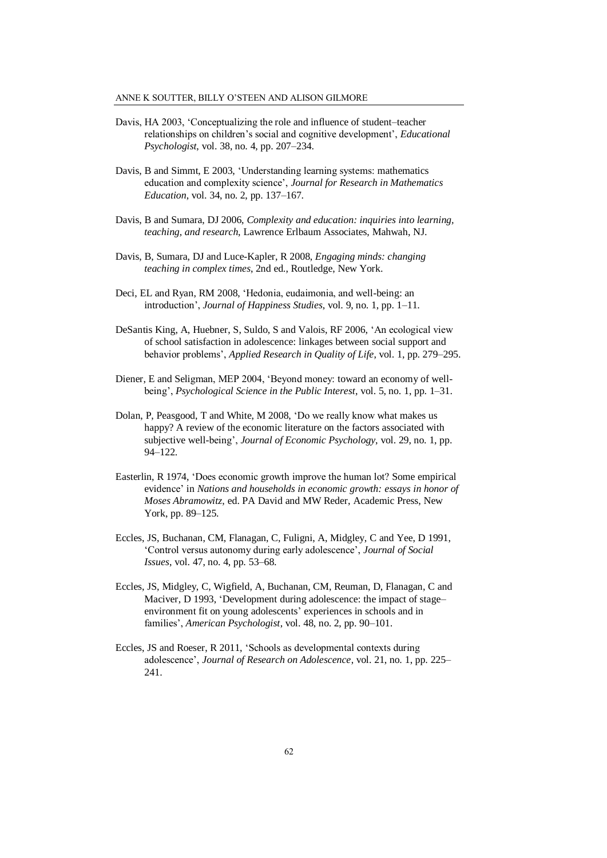- Davis, HA 2003, 'Conceptualizing the role and influence of student–teacher relationships on children's social and cognitive development', *Educational Psychologist*, vol. 38, no. 4, pp. 207–234.
- Davis, B and Simmt, E 2003, 'Understanding learning systems: mathematics education and complexity science', *Journal for Research in Mathematics Education*, vol. 34, no. 2, pp. 137–167.
- Davis, B and Sumara, DJ 2006, *Complexity and education: inquiries into learning, teaching, and research*, Lawrence Erlbaum Associates, Mahwah, NJ.
- Davis, B, Sumara, DJ and Luce-Kapler, R 2008, *Engaging minds: changing teaching in complex times*, 2nd ed., Routledge, New York.
- Deci, EL and Ryan, RM 2008, 'Hedonia, eudaimonia, and well-being: an introduction', *Journal of Happiness Studies*, vol. 9, no. 1, pp. 1–11.
- DeSantis King, A, Huebner, S, Suldo, S and Valois, RF 2006, 'An ecological view of school satisfaction in adolescence: linkages between social support and behavior problems', *Applied Research in Quality of Life*, vol. 1, pp. 279–295.
- Diener, E and Seligman, MEP 2004, 'Beyond money: toward an economy of wellbeing', *Psychological Science in the Public Interest*, vol. 5, no. 1, pp. 1–31.
- Dolan, P, Peasgood, T and White, M 2008, 'Do we really know what makes us happy? A review of the economic literature on the factors associated with subjective well-being', *Journal of Economic Psychology*, vol. 29, no. 1, pp. 94–122.
- Easterlin, R 1974, 'Does economic growth improve the human lot? Some empirical evidence' in *Nations and households in economic growth: essays in honor of Moses Abramowitz*, ed. PA David and MW Reder, Academic Press, New York, pp. 89–125.
- Eccles, JS, Buchanan, CM, Flanagan, C, Fuligni, A, Midgley, C and Yee, D 1991, 'Control versus autonomy during early adolescence', *Journal of Social Issues*, vol. 47, no. 4, pp. 53–68.
- Eccles, JS, Midgley, C, Wigfield, A, Buchanan, CM, Reuman, D, Flanagan, C and Maciver, D 1993, 'Development during adolescence: the impact of stage– environment fit on young adolescents' experiences in schools and in families', *American Psychologist*, vol. 48, no. 2, pp. 90–101.
- Eccles, JS and Roeser, R 2011, 'Schools as developmental contexts during adolescence', *Journal of Research on Adolescence*, vol. 21, no. 1, pp. 225– 241.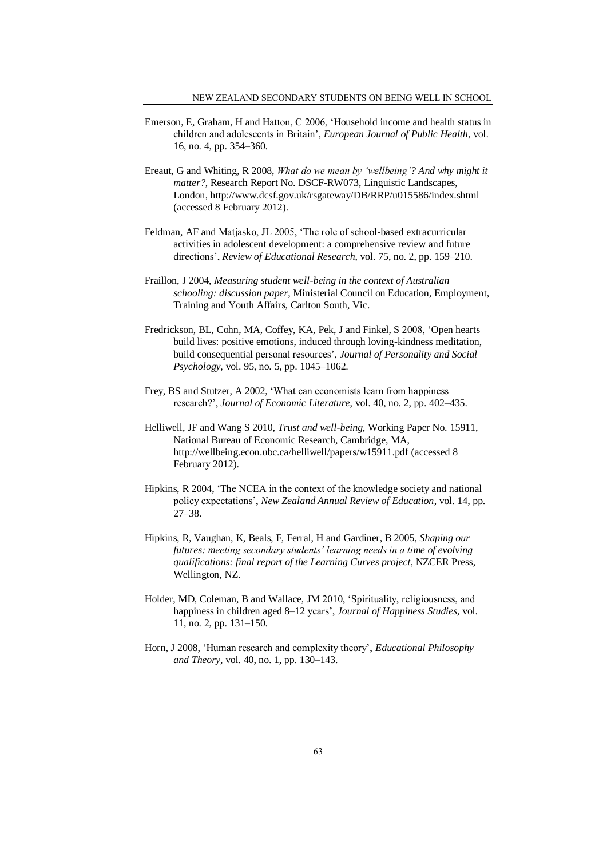- Emerson, E, Graham, H and Hatton, C 2006, 'Household income and health status in children and adolescents in Britain', *European Journal of Public Health*, vol. 16, no. 4, pp. 354–360.
- Ereaut, G and Whiting, R 2008, *What do we mean by 'wellbeing'? And why might it matter?*, Research Report No. DSCF-RW073, Linguistic Landscapes, London, http://www.dcsf.gov.uk/rsgateway/DB/RRP/u015586/index.shtml (accessed 8 February 2012).
- Feldman, AF and Matjasko, JL 2005, 'The role of school-based extracurricular activities in adolescent development: a comprehensive review and future directions', *Review of Educational Research*, vol. 75, no. 2, pp. 159–210.
- Fraillon, J 2004, *Measuring student well-being in the context of Australian schooling: discussion paper*, Ministerial Council on Education, Employment, Training and Youth Affairs, Carlton South, Vic.
- Fredrickson, BL, Cohn, MA, Coffey, KA, Pek, J and Finkel, S 2008, 'Open hearts build lives: positive emotions, induced through loving-kindness meditation, build consequential personal resources', *Journal of Personality and Social Psychology*, vol. 95, no. 5, pp. 1045–1062.
- Frey, BS and Stutzer, A 2002, 'What can economists learn from happiness research?', *Journal of Economic Literature*, vol. 40, no. 2, pp. 402–435.
- Helliwell, JF and Wang S 2010, *Trust and well-being*, Working Paper No. 15911, National Bureau of Economic Research, Cambridge, MA, http://wellbeing.econ.ubc.ca/helliwell/papers/w15911.pdf (accessed 8 February 2012).
- Hipkins, R 2004, 'The NCEA in the context of the knowledge society and national policy expectations', *New Zealand Annual Review of Education*, vol. 14, pp. 27–38.
- Hipkins, R, Vaughan, K, Beals, F, Ferral, H and Gardiner, B 2005, *Shaping our futures: meeting secondary students' learning needs in a time of evolving qualifications: final report of the Learning Curves project*, NZCER Press, Wellington, NZ.
- Holder, MD, Coleman, B and Wallace, JM 2010, 'Spirituality, religiousness, and happiness in children aged 8–12 years', *Journal of Happiness Studies*, vol. 11, no. 2, pp. 131–150.
- Horn, J 2008, 'Human research and complexity theory', *Educational Philosophy and Theory*, vol. 40, no. 1, pp. 130–143.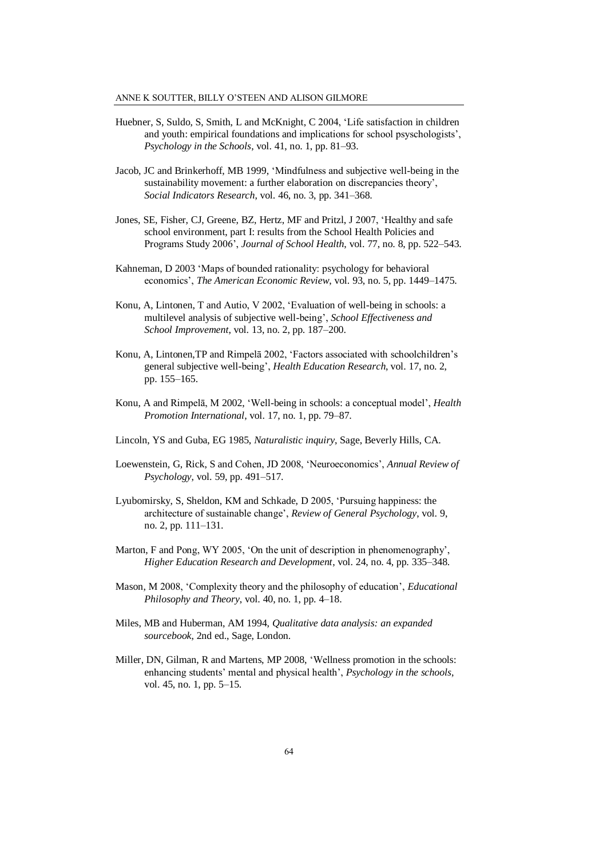- Huebner, S, Suldo, S, Smith, L and McKnight, C 2004, 'Life satisfaction in children and youth: empirical foundations and implications for school psyschologists', *Psychology in the Schools*, vol. 41, no. 1, pp. 81–93.
- Jacob, JC and Brinkerhoff, MB 1999, 'Mindfulness and subjective well-being in the sustainability movement: a further elaboration on discrepancies theory', *Social Indicators Research*, vol. 46, no. 3, pp. 341–368.
- Jones, SE, Fisher, CJ, Greene, BZ, Hertz, MF and Pritzl, J 2007, 'Healthy and safe school environment, part I: results from the School Health Policies and Programs Study 2006', *Journal of School Health*, vol. 77, no. 8, pp. 522–543.
- Kahneman, D 2003 'Maps of bounded rationality: psychology for behavioral economics', *The American Economic Review*, vol. 93, no. 5, pp. 1449–1475.
- Konu, A, Lintonen, T and Autio, V 2002, 'Evaluation of well-being in schools: a multilevel analysis of subjective well-being', *School Effectiveness and School Improvement*, vol. 13, no. 2, pp. 187–200.
- Konu, A, Lintonen,TP and Rimpelā 2002, 'Factors associated with schoolchildren's general subjective well-being', *Health Education Research*, vol. 17, no. 2, pp. 155–165.
- Konu, A and Rimpelā, M 2002, 'Well-being in schools: a conceptual model', *Health Promotion International*, vol. 17, no. 1, pp. 79–87.
- Lincoln, YS and Guba, EG 1985, *Naturalistic inquiry*, Sage, Beverly Hills, CA.
- Loewenstein, G, Rick, S and Cohen, JD 2008, 'Neuroeconomics', *Annual Review of Psychology*, vol. 59, pp. 491–517.
- Lyubomirsky, S, Sheldon, KM and Schkade, D 2005, 'Pursuing happiness: the architecture of sustainable change', *Review of General Psychology*, vol. 9, no. 2, pp. 111–131.
- Marton, F and Pong, WY 2005, 'On the unit of description in phenomenography', *Higher Education Research and Development*, vol. 24, no. 4, pp. 335–348.
- Mason, M 2008, 'Complexity theory and the philosophy of education', *Educational Philosophy and Theory*, vol. 40, no. 1, pp. 4–18.
- Miles, MB and Huberman, AM 1994, *Qualitative data analysis: an expanded sourcebook*, 2nd ed., Sage, London.
- Miller, DN, Gilman, R and Martens, MP 2008, 'Wellness promotion in the schools: enhancing students' mental and physical health', *Psychology in the schools*, vol. 45, no. 1, pp. 5–15.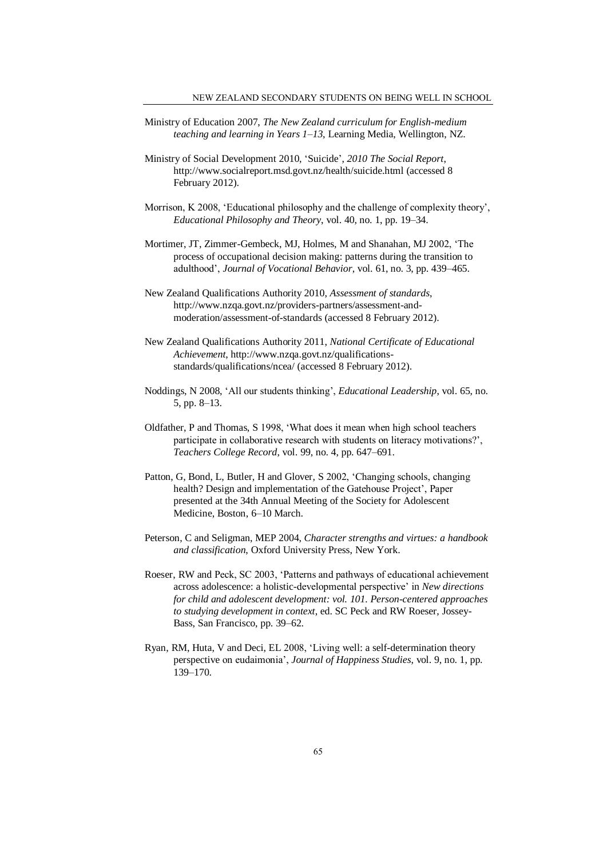- Ministry of Education 2007, *The New Zealand curriculum for English-medium teaching and learning in Years 1–13*, Learning Media, Wellington, NZ.
- Ministry of Social Development 2010, 'Suicide', *2010 The Social Report*, http://www.socialreport.msd.govt.nz/health/suicide.html (accessed 8 February 2012).
- Morrison, K 2008, 'Educational philosophy and the challenge of complexity theory', *Educational Philosophy and Theory*, vol. 40, no. 1, pp. 19–34.
- Mortimer, JT, Zimmer-Gembeck, MJ, Holmes, M and Shanahan, MJ 2002, 'The process of occupational decision making: patterns during the transition to adulthood', *Journal of Vocational Behavior*, vol. 61, no. 3, pp. 439–465.
- New Zealand Qualifications Authority 2010, *Assessment of standards*, http://www.nzqa.govt.nz/providers-partners/assessment-andmoderation/assessment-of-standards (accessed 8 February 2012).
- New Zealand Qualifications Authority 2011, *National Certificate of Educational Achievement*, http://www.nzqa.govt.nz/qualificationsstandards/qualifications/ncea/ (accessed 8 February 2012).
- Noddings, N 2008, 'All our students thinking', *Educational Leadership*, vol. 65, no. 5, pp. 8–13.
- Oldfather, P and Thomas, S 1998, 'What does it mean when high school teachers participate in collaborative research with students on literacy motivations?', *Teachers College Record*, vol. 99, no. 4, pp. 647–691.
- Patton, G, Bond, L, Butler, H and Glover, S 2002, 'Changing schools, changing health? Design and implementation of the Gatehouse Project', Paper presented at the 34th Annual Meeting of the Society for Adolescent Medicine, Boston, 6–10 March.
- Peterson, C and Seligman, MEP 2004, *Character strengths and virtues: a handbook and classification*, Oxford University Press, New York.
- Roeser, RW and Peck, SC 2003, 'Patterns and pathways of educational achievement across adolescence: a holistic-developmental perspective' in *New directions for child and adolescent development: vol. 101. Person-centered approaches to studying development in context*, ed. SC Peck and RW Roeser, Jossey-Bass, San Francisco, pp. 39–62.
- Ryan, RM, Huta, V and Deci, EL 2008, 'Living well: a self-determination theory perspective on eudaimonia', *Journal of Happiness Studies*, vol. 9, no. 1, pp. 139–170.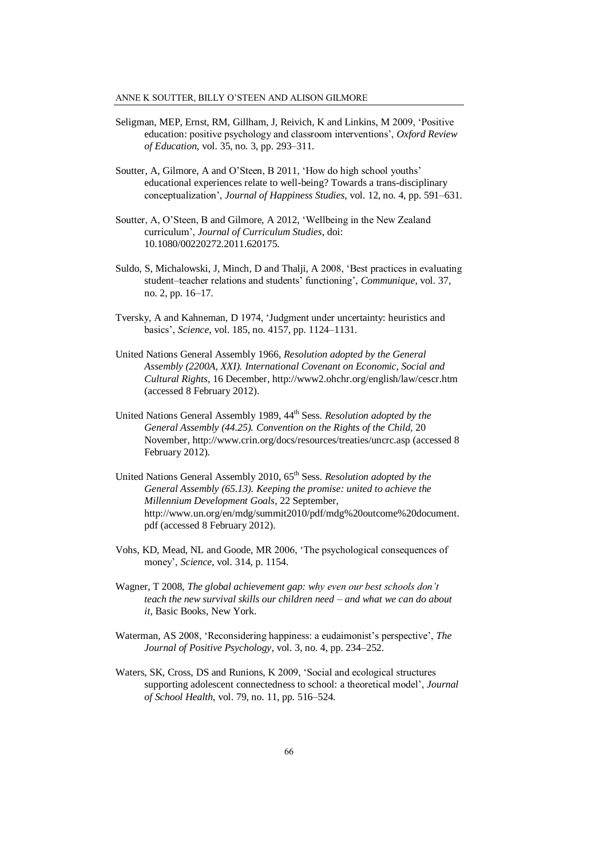#### ANNE K SOUTTER, BILLY O'STEEN AND ALISON GILMORE

- Seligman, MEP, Ernst, RM, Gillham, J, Reivich, K and Linkins, M 2009, 'Positive education: positive psychology and classroom interventions', *Oxford Review of Education*, vol. 35, no. 3, pp. 293–311.
- Soutter, A, Gilmore, A and O'Steen, B 2011, 'How do high school youths' educational experiences relate to well-being? Towards a trans-disciplinary conceptualization', *Journal of Happiness Studies*, vol. 12, no. 4, pp. 591–631.
- Soutter, A, O'Steen, B and Gilmore, A 2012, 'Wellbeing in the New Zealand curriculum', *Journal of Curriculum Studies*, doi: 10.1080/00220272.2011.620175*.*
- Suldo, S, Michalowski, J, Minch, D and Thalji, A 2008, 'Best practices in evaluating student–teacher relations and students' functioning', *Communique*, vol. 37, no. 2, pp. 16–17.
- Tversky, A and Kahneman, D 1974, 'Judgment under uncertainty: heuristics and basics', *Science*, vol. 185, no. 4157, pp. 1124–1131.
- United Nations General Assembly 1966, *Resolution adopted by the General Assembly (2200A, XXI). International Covenant on Economic, Social and Cultural Rights*, 16 December, http://www2.ohchr.org/english/law/cescr.htm (accessed 8 February 2012).
- United Nations General Assembly 1989, 44<sup>th</sup> Sess. *Resolution adopted by the General Assembly (44.25). Convention on the Rights of the Child,* 20 November, http://www.crin.org/docs/resources/treaties/uncrc.asp (accessed 8 February 2012).
- United Nations General Assembly 2010, 65th Sess. *Resolution adopted by the General Assembly (65.13). Keeping the promise: united to achieve the Millennium Development Goals*, 22 September, http://www.un.org/en/mdg/summit2010/pdf/mdg%20outcome%20document. pdf (accessed 8 February 2012).
- Vohs, KD, Mead, NL and Goode, MR 2006, 'The psychological consequences of money', *Science*, vol. 314, p. 1154.
- Wagner, T 2008, *The global achievement gap: why even our best schools don't teach the new survival skills our children need – and what we can do about it*, Basic Books, New York.
- Waterman, AS 2008, 'Reconsidering happiness: a eudaimonist's perspective', *The Journal of Positive Psychology*, vol. 3, no. 4, pp. 234–252.
- Waters, SK, Cross, DS and Runions, K 2009, 'Social and ecological structures supporting adolescent connectedness to school: a theoretical model', *Journal of School Health*, vol. 79, no. 11, pp. 516–524.